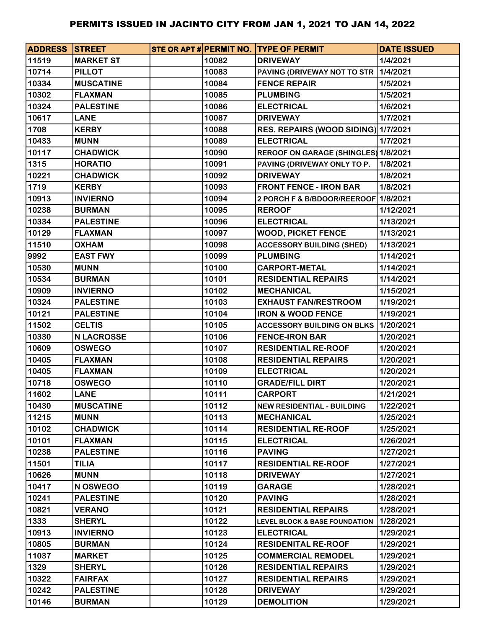| <b>ADDRESS STREET</b> |                   |       | STE OR APT # PERMIT NO. TYPE OF PERMIT      | <b>DATE ISSUED</b> |
|-----------------------|-------------------|-------|---------------------------------------------|--------------------|
| 11519                 | <b>MARKET ST</b>  | 10082 | <b>DRIVEWAY</b>                             | 1/4/2021           |
| 10714                 | <b>PILLOT</b>     | 10083 | PAVING (DRIVEWAY NOT TO STR                 | 1/4/2021           |
| 10334                 | <b>MUSCATINE</b>  | 10084 | <b>FENCE REPAIR</b>                         | 1/5/2021           |
| 10302                 | <b>FLAXMAN</b>    | 10085 | <b>PLUMBING</b>                             | 1/5/2021           |
| 10324                 | <b>PALESTINE</b>  | 10086 | <b>ELECTRICAL</b>                           | 1/6/2021           |
| 10617                 | <b>LANE</b>       | 10087 | <b>DRIVEWAY</b>                             | 1/7/2021           |
| 1708                  | <b>KERBY</b>      | 10088 | RES. REPAIRS (WOOD SIDING) 1/7/2021         |                    |
| 10433                 | <b>MUNN</b>       | 10089 | <b>ELECTRICAL</b>                           | 1/7/2021           |
| 10117                 | <b>CHADWICK</b>   | 10090 | <b>REROOF ON GARAGE (SHINGLES) 1/8/2021</b> |                    |
| 1315                  | <b>HORATIO</b>    | 10091 | PAVING (DRIVEWAY ONLY TO P.                 | 1/8/2021           |
| 10221                 | <b>CHADWICK</b>   | 10092 | <b>DRIVEWAY</b>                             | 1/8/2021           |
| 1719                  | <b>KERBY</b>      | 10093 | <b>FRONT FENCE - IRON BAR</b>               | 1/8/2021           |
| 10913                 | <b>INVIERNO</b>   | 10094 | 2 PORCH F & B/BDOOR/REEROOF 1/8/2021        |                    |
| 10238                 | <b>BURMAN</b>     | 10095 | <b>REROOF</b>                               | 1/12/2021          |
| 10334                 | <b>PALESTINE</b>  | 10096 | <b>ELECTRICAL</b>                           | 1/13/2021          |
| 10129                 | <b>FLAXMAN</b>    | 10097 | <b>WOOD, PICKET FENCE</b>                   | 1/13/2021          |
| 11510                 | <b>OXHAM</b>      | 10098 | <b>ACCESSORY BUILDING (SHED)</b>            | 1/13/2021          |
| 9992                  | <b>EAST FWY</b>   | 10099 | <b>PLUMBING</b>                             | 1/14/2021          |
| 10530                 | <b>MUNN</b>       | 10100 | <b>CARPORT-METAL</b>                        | 1/14/2021          |
| 10534                 | <b>BURMAN</b>     | 10101 | <b>RESIDENTIAL REPAIRS</b>                  | 1/14/2021          |
| 10909                 | <b>INVIERNO</b>   | 10102 | <b>MECHANICAL</b>                           | 1/15/2021          |
| 10324                 | <b>PALESTINE</b>  | 10103 | <b>EXHAUST FAN/RESTROOM</b>                 | 1/19/2021          |
| 10121                 | <b>PALESTINE</b>  | 10104 | <b>IRON &amp; WOOD FENCE</b>                | 1/19/2021          |
| 11502                 | <b>CELTIS</b>     | 10105 | <b>ACCESSORY BUILDING ON BLKS</b>           | 1/20/2021          |
| 10330                 | <b>N LACROSSE</b> | 10106 | <b>FENCE-IRON BAR</b>                       | 1/20/2021          |
| 10609                 | <b>OSWEGO</b>     | 10107 | <b>RESIDENTIAL RE-ROOF</b>                  | 1/20/2021          |
| 10405                 | <b>FLAXMAN</b>    | 10108 | <b>RESIDENTIAL REPAIRS</b>                  | 1/20/2021          |
| 10405                 | <b>FLAXMAN</b>    | 10109 | <b>ELECTRICAL</b>                           | 1/20/2021          |
| 10718                 | <b>OSWEGO</b>     | 10110 | <b>GRADE/FILL DIRT</b>                      | 1/20/2021          |
| 11602                 | <b>LANE</b>       | 10111 | <b>CARPORT</b>                              | 1/21/2021          |
| 10430                 | <b>MUSCATINE</b>  | 10112 | <b>NEW RESIDENTIAL - BUILDING</b>           | 1/22/2021          |
| 11215                 | <b>MUNN</b>       | 10113 | <b>MECHANICAL</b>                           | 1/25/2021          |
| 10102                 | <b>CHADWICK</b>   | 10114 | <b>RESIDENTIAL RE-ROOF</b>                  | 1/25/2021          |
| 10101                 | <b>FLAXMAN</b>    | 10115 | <b>ELECTRICAL</b>                           | 1/26/2021          |
| 10238                 | <b>PALESTINE</b>  | 10116 | <b>PAVING</b>                               | 1/27/2021          |
| 11501                 | <b>TILIA</b>      | 10117 | <b>RESIDENTIAL RE-ROOF</b>                  | 1/27/2021          |
| 10626                 | <b>MUNN</b>       | 10118 | <b>DRIVEWAY</b>                             | 1/27/2021          |
| 10417                 | <b>N OSWEGO</b>   | 10119 | <b>GARAGE</b>                               | 1/28/2021          |
| 10241                 | <b>PALESTINE</b>  | 10120 | <b>PAVING</b>                               | 1/28/2021          |
| 10821                 | <b>VERANO</b>     | 10121 | <b>RESIDENTIAL REPAIRS</b>                  | 1/28/2021          |
| 1333                  | <b>SHERYL</b>     | 10122 | <b>LEVEL BLOCK &amp; BASE FOUNDATION</b>    | 1/28/2021          |
| 10913                 | <b>INVIERNO</b>   | 10123 | <b>ELECTRICAL</b>                           | 1/29/2021          |
| 10805                 | <b>BURMAN</b>     | 10124 | <b>RESIDENITAL RE-ROOF</b>                  | 1/29/2021          |
| 11037                 | <b>MARKET</b>     | 10125 | <b>COMMERCIAL REMODEL</b>                   | 1/29/2021          |
| 1329                  | <b>SHERYL</b>     | 10126 | <b>RESIDENTIAL REPAIRS</b>                  | 1/29/2021          |
| 10322                 | <b>FAIRFAX</b>    | 10127 | <b>RESIDENTIAL REPAIRS</b>                  | 1/29/2021          |
| 10242                 | <b>PALESTINE</b>  | 10128 | <b>DRIVEWAY</b>                             | 1/29/2021          |
| 10146                 | <b>BURMAN</b>     | 10129 | <b>DEMOLITION</b>                           | 1/29/2021          |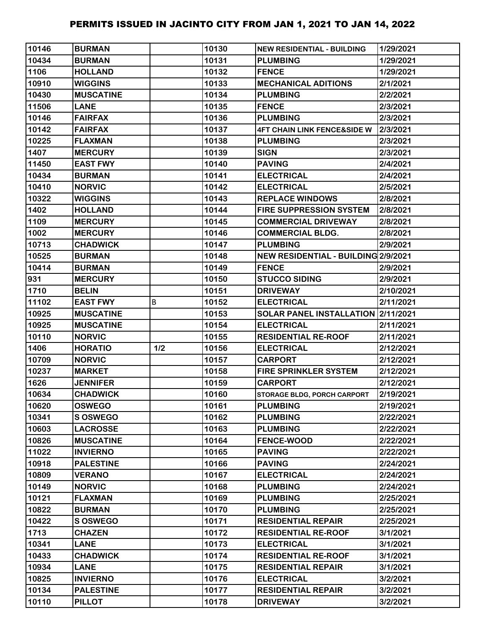| 10146 | <b>BURMAN</b>    |     | 10130 | <b>NEW RESIDENTIAL - BUILDING</b>      | 1/29/2021 |
|-------|------------------|-----|-------|----------------------------------------|-----------|
| 10434 | <b>BURMAN</b>    |     | 10131 | <b>PLUMBING</b>                        | 1/29/2021 |
| 1106  | <b>HOLLAND</b>   |     | 10132 | <b>FENCE</b>                           | 1/29/2021 |
| 10910 | <b>WIGGINS</b>   |     | 10133 | <b>MECHANICAL ADITIONS</b>             | 2/1/2021  |
| 10430 | <b>MUSCATINE</b> |     | 10134 | <b>PLUMBING</b>                        | 2/2/2021  |
| 11506 | <b>LANE</b>      |     | 10135 | <b>FENCE</b>                           | 2/3/2021  |
| 10146 | <b>FAIRFAX</b>   |     | 10136 | <b>PLUMBING</b>                        | 2/3/2021  |
| 10142 | <b>FAIRFAX</b>   |     | 10137 | <b>4FT CHAIN LINK FENCE&amp;SIDE W</b> | 2/3/2021  |
| 10225 | <b>FLAXMAN</b>   |     | 10138 | <b>PLUMBING</b>                        | 2/3/2021  |
| 1407  | <b>MERCURY</b>   |     | 10139 | <b>SIGN</b>                            | 2/3/2021  |
| 11450 | <b>EAST FWY</b>  |     | 10140 | <b>PAVING</b>                          | 2/4/2021  |
| 10434 | <b>BURMAN</b>    |     | 10141 | <b>ELECTRICAL</b>                      | 2/4/2021  |
| 10410 | <b>NORVIC</b>    |     | 10142 | <b>ELECTRICAL</b>                      | 2/5/2021  |
| 10322 | <b>WIGGINS</b>   |     | 10143 | <b>REPLACE WINDOWS</b>                 | 2/8/2021  |
| 1402  | <b>HOLLAND</b>   |     | 10144 | <b>FIRE SUPPRESSION SYSTEM</b>         | 2/8/2021  |
| 1109  | <b>MERCURY</b>   |     | 10145 | <b>COMMERCIAL DRIVEWAY</b>             | 2/8/2021  |
| 1002  | <b>MERCURY</b>   |     | 10146 | <b>COMMERCIAL BLDG.</b>                | 2/8/2021  |
| 10713 | <b>CHADWICK</b>  |     | 10147 | <b>PLUMBING</b>                        | 2/9/2021  |
| 10525 | <b>BURMAN</b>    |     | 10148 | NEW RESIDENTIAL - BUILDING 2/9/2021    |           |
| 10414 | <b>BURMAN</b>    |     | 10149 | <b>FENCE</b>                           | 2/9/2021  |
| 931   | <b>MERCURY</b>   |     | 10150 | <b>STUCCO SIDING</b>                   | 2/9/2021  |
| 1710  | <b>BELIN</b>     |     | 10151 | <b>DRIVEWAY</b>                        | 2/10/2021 |
| 11102 | <b>EAST FWY</b>  | B   | 10152 | <b>ELECTRICAL</b>                      | 2/11/2021 |
| 10925 | <b>MUSCATINE</b> |     | 10153 | SOLAR PANEL INSTALLATION 2/11/2021     |           |
| 10925 | <b>MUSCATINE</b> |     | 10154 | <b>ELECTRICAL</b>                      | 2/11/2021 |
| 10110 | <b>NORVIC</b>    |     | 10155 | <b>RESIDENTIAL RE-ROOF</b>             | 2/11/2021 |
| 1406  | <b>HORATIO</b>   | 1/2 | 10156 | <b>ELECTRICAL</b>                      | 2/12/2021 |
| 10709 | <b>NORVIC</b>    |     | 10157 | <b>CARPORT</b>                         | 2/12/2021 |
| 10237 | <b>MARKET</b>    |     | 10158 | <b>FIRE SPRINKLER SYSTEM</b>           | 2/12/2021 |
| 1626  | <b>JENNIFER</b>  |     | 10159 | <b>CARPORT</b>                         | 2/12/2021 |
| 10634 | <b>CHADWICK</b>  |     | 10160 | <b>STORAGE BLDG, PORCH CARPORT</b>     | 2/19/2021 |
| 10620 | <b>OSWEGO</b>    |     | 10161 | <b>PLUMBING</b>                        | 2/19/2021 |
| 10341 | <b>S OSWEGO</b>  |     | 10162 | <b>PLUMBING</b>                        | 2/22/2021 |
| 10603 | <b>LACROSSE</b>  |     | 10163 | <b>PLUMBING</b>                        | 2/22/2021 |
| 10826 | <b>MUSCATINE</b> |     | 10164 | <b>FENCE-WOOD</b>                      | 2/22/2021 |
| 11022 | <b>INVIERNO</b>  |     | 10165 | <b>PAVING</b>                          | 2/22/2021 |
| 10918 | <b>PALESTINE</b> |     | 10166 | <b>PAVING</b>                          | 2/24/2021 |
| 10809 | <b>VERANO</b>    |     | 10167 | <b>ELECTRICAL</b>                      | 2/24/2021 |
| 10149 | <b>NORVIC</b>    |     | 10168 | <b>PLUMBING</b>                        | 2/24/2021 |
| 10121 | <b>FLAXMAN</b>   |     | 10169 | <b>PLUMBING</b>                        | 2/25/2021 |
| 10822 | <b>BURMAN</b>    |     | 10170 | <b>PLUMBING</b>                        | 2/25/2021 |
| 10422 | <b>S OSWEGO</b>  |     | 10171 | <b>RESIDENTIAL REPAIR</b>              | 2/25/2021 |
| 1713  | <b>CHAZEN</b>    |     | 10172 | <b>RESIDENTIAL RE-ROOF</b>             | 3/1/2021  |
| 10341 | <b>LANE</b>      |     | 10173 | <b>ELECTRICAL</b>                      | 3/1/2021  |
| 10433 | <b>CHADWICK</b>  |     | 10174 | <b>RESIDENTIAL RE-ROOF</b>             | 3/1/2021  |
| 10934 | <b>LANE</b>      |     | 10175 | <b>RESIDENTIAL REPAIR</b>              | 3/1/2021  |
| 10825 | <b>INVIERNO</b>  |     | 10176 | <b>ELECTRICAL</b>                      | 3/2/2021  |
| 10134 | <b>PALESTINE</b> |     | 10177 | <b>RESIDENTIAL REPAIR</b>              | 3/2/2021  |
| 10110 | <b>PILLOT</b>    |     | 10178 | <b>DRIVEWAY</b>                        | 3/2/2021  |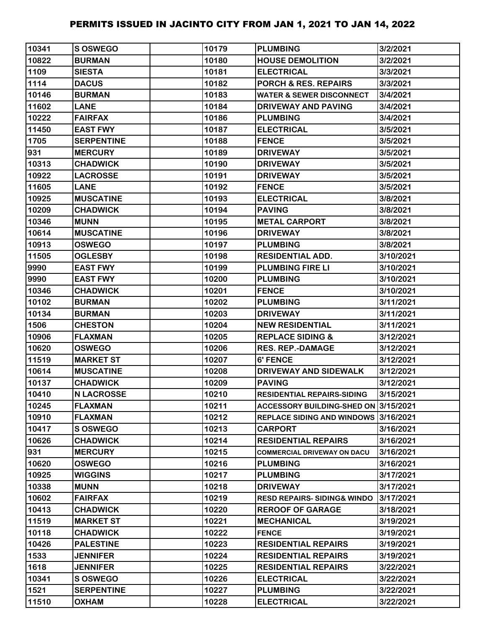| 10341 | S OSWEGO          | 10179 | <b>PLUMBING</b>                        | 3/2/2021  |
|-------|-------------------|-------|----------------------------------------|-----------|
| 10822 | <b>BURMAN</b>     | 10180 | <b>HOUSE DEMOLITION</b>                | 3/2/2021  |
| 1109  | <b>SIESTA</b>     | 10181 | <b>ELECTRICAL</b>                      | 3/3/2021  |
| 1114  | <b>DACUS</b>      | 10182 | <b>PORCH &amp; RES. REPAIRS</b>        | 3/3/2021  |
| 10146 | <b>BURMAN</b>     | 10183 | <b>WATER &amp; SEWER DISCONNECT</b>    | 3/4/2021  |
| 11602 | <b>LANE</b>       | 10184 | <b>DRIVEWAY AND PAVING</b>             | 3/4/2021  |
| 10222 | <b>FAIRFAX</b>    | 10186 | <b>PLUMBING</b>                        | 3/4/2021  |
| 11450 | <b>EAST FWY</b>   | 10187 | <b>ELECTRICAL</b>                      | 3/5/2021  |
| 1705  | <b>SERPENTINE</b> | 10188 | <b>FENCE</b>                           | 3/5/2021  |
| 931   | <b>MERCURY</b>    | 10189 | <b>DRIVEWAY</b>                        | 3/5/2021  |
| 10313 | <b>CHADWICK</b>   | 10190 | <b>DRIVEWAY</b>                        | 3/5/2021  |
| 10922 | <b>LACROSSE</b>   | 10191 | <b>DRIVEWAY</b>                        | 3/5/2021  |
| 11605 | <b>LANE</b>       | 10192 | <b>FENCE</b>                           | 3/5/2021  |
| 10925 | <b>MUSCATINE</b>  | 10193 | <b>ELECTRICAL</b>                      | 3/8/2021  |
| 10209 | <b>CHADWICK</b>   | 10194 | <b>PAVING</b>                          | 3/8/2021  |
| 10346 | <b>MUNN</b>       | 10195 | <b>METAL CARPORT</b>                   | 3/8/2021  |
| 10614 | <b>MUSCATINE</b>  | 10196 | <b>DRIVEWAY</b>                        | 3/8/2021  |
| 10913 | <b>OSWEGO</b>     | 10197 | <b>PLUMBING</b>                        | 3/8/2021  |
| 11505 | <b>OGLESBY</b>    | 10198 | <b>RESIDENTIAL ADD.</b>                | 3/10/2021 |
| 9990  | <b>EAST FWY</b>   | 10199 | <b>PLUMBING FIRE LI</b>                | 3/10/2021 |
| 9990  | <b>EAST FWY</b>   | 10200 | <b>PLUMBING</b>                        | 3/10/2021 |
| 10346 | <b>CHADWICK</b>   | 10201 | <b>FENCE</b>                           | 3/10/2021 |
| 10102 | <b>BURMAN</b>     | 10202 | <b>PLUMBING</b>                        | 3/11/2021 |
| 10134 | <b>BURMAN</b>     | 10203 | <b>DRIVEWAY</b>                        | 3/11/2021 |
| 1506  | <b>CHESTON</b>    | 10204 | <b>NEW RESIDENTIAL</b>                 | 3/11/2021 |
| 10906 | <b>FLAXMAN</b>    | 10205 | <b>REPLACE SIDING &amp;</b>            | 3/12/2021 |
| 10620 | <b>OSWEGO</b>     | 10206 | <b>RES. REP.-DAMAGE</b>                | 3/12/2021 |
| 11519 | <b>MARKET ST</b>  | 10207 | 6' FENCE                               | 3/12/2021 |
| 10614 | <b>MUSCATINE</b>  | 10208 | DRIVEWAY AND SIDEWALK                  | 3/12/2021 |
| 10137 | <b>CHADWICK</b>   | 10209 | <b>PAVING</b>                          | 3/12/2021 |
| 10410 | <b>N LACROSSE</b> | 10210 | <b>RESIDENTIAL REPAIRS-SIDING</b>      | 3/15/2021 |
| 10245 | <b>FLAXMAN</b>    | 10211 | ACCESSORY BUILDING-SHED ON 3/15/2021   |           |
| 10910 | <b>FLAXMAN</b>    | 10212 | REPLACE SIDING AND WINDOWS 3/16/2021   |           |
| 10417 | <b>SOSWEGO</b>    | 10213 | <b>CARPORT</b>                         | 3/16/2021 |
| 10626 | <b>CHADWICK</b>   | 10214 | <b>RESIDENTIAL REPAIRS</b>             | 3/16/2021 |
| 931   | <b>MERCURY</b>    | 10215 | <b>COMMERCIAL DRIVEWAY ON DACU</b>     | 3/16/2021 |
| 10620 | <b>OSWEGO</b>     | 10216 | <b>PLUMBING</b>                        | 3/16/2021 |
| 10925 | <b>WIGGINS</b>    | 10217 | <b>PLUMBING</b>                        | 3/17/2021 |
| 10338 | <b>MUNN</b>       | 10218 | <b>DRIVEWAY</b>                        | 3/17/2021 |
| 10602 | <b>FAIRFAX</b>    | 10219 | <b>RESD REPAIRS- SIDING&amp; WINDO</b> | 3/17/2021 |
| 10413 | <b>CHADWICK</b>   | 10220 | <b>REROOF OF GARAGE</b>                | 3/18/2021 |
| 11519 | <b>MARKET ST</b>  | 10221 | <b>MECHANICAL</b>                      | 3/19/2021 |
| 10118 | <b>CHADWICK</b>   | 10222 | <b>FENCE</b>                           | 3/19/2021 |
| 10426 | <b>PALESTINE</b>  | 10223 | <b>RESIDENTIAL REPAIRS</b>             | 3/19/2021 |
| 1533  | <b>JENNIFER</b>   | 10224 | <b>RESIDENTIAL REPAIRS</b>             | 3/19/2021 |
| 1618  | <b>JENNIFER</b>   | 10225 | <b>RESIDENTIAL REPAIRS</b>             | 3/22/2021 |
| 10341 | <b>S OSWEGO</b>   | 10226 | <b>ELECTRICAL</b>                      | 3/22/2021 |
| 1521  | <b>SERPENTINE</b> | 10227 | <b>PLUMBING</b>                        | 3/22/2021 |
| 11510 | <b>OXHAM</b>      | 10228 | <b>ELECTRICAL</b>                      | 3/22/2021 |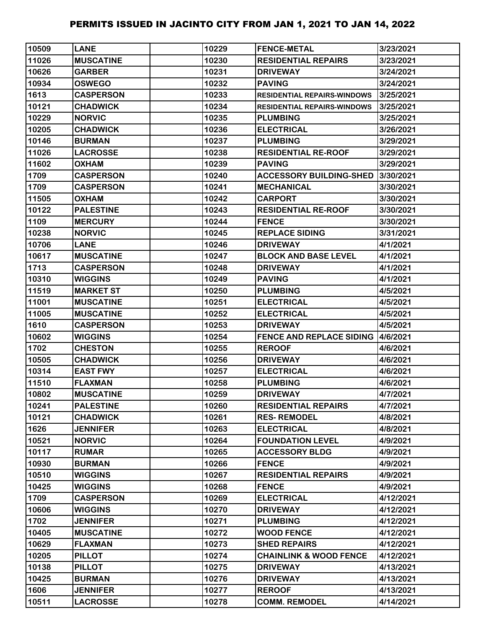| 10509 | <b>LANE</b>      | 10229 | <b>FENCE-METAL</b>                        | 3/23/2021 |
|-------|------------------|-------|-------------------------------------------|-----------|
| 11026 | <b>MUSCATINE</b> | 10230 | <b>RESIDENTIAL REPAIRS</b>                | 3/23/2021 |
| 10626 | <b>GARBER</b>    | 10231 | <b>DRIVEWAY</b>                           | 3/24/2021 |
| 10934 | <b>OSWEGO</b>    | 10232 | <b>PAVING</b>                             | 3/24/2021 |
| 1613  | <b>CASPERSON</b> | 10233 | <b>RESIDENTIAL REPAIRS-WINDOWS</b>        | 3/25/2021 |
| 10121 | <b>CHADWICK</b>  | 10234 | <b>RESIDENTIAL REPAIRS-WINDOWS</b>        | 3/25/2021 |
| 10229 | <b>NORVIC</b>    | 10235 | <b>PLUMBING</b>                           | 3/25/2021 |
| 10205 | <b>CHADWICK</b>  | 10236 | <b>ELECTRICAL</b>                         | 3/26/2021 |
| 10146 | <b>BURMAN</b>    | 10237 | <b>PLUMBING</b>                           | 3/29/2021 |
| 11026 | <b>LACROSSE</b>  | 10238 | <b>RESIDENTIAL RE-ROOF</b>                | 3/29/2021 |
| 11602 | <b>OXHAM</b>     | 10239 | <b>PAVING</b>                             | 3/29/2021 |
| 1709  | <b>CASPERSON</b> | 10240 | <b>ACCESSORY BUILDING-SHED</b>            | 3/30/2021 |
| 1709  | <b>CASPERSON</b> | 10241 | <b>MECHANICAL</b>                         | 3/30/2021 |
| 11505 | <b>OXHAM</b>     | 10242 | <b>CARPORT</b>                            | 3/30/2021 |
| 10122 | <b>PALESTINE</b> | 10243 | <b>RESIDENTIAL RE-ROOF</b>                | 3/30/2021 |
| 1109  | <b>MERCURY</b>   | 10244 | <b>FENCE</b>                              | 3/30/2021 |
| 10238 | <b>NORVIC</b>    | 10245 | <b>REPLACE SIDING</b>                     | 3/31/2021 |
| 10706 | <b>LANE</b>      | 10246 | <b>DRIVEWAY</b>                           | 4/1/2021  |
| 10617 | <b>MUSCATINE</b> | 10247 | <b>BLOCK AND BASE LEVEL</b>               | 4/1/2021  |
| 1713  | <b>CASPERSON</b> | 10248 | <b>DRIVEWAY</b>                           | 4/1/2021  |
| 10310 | <b>WIGGINS</b>   | 10249 | <b>PAVING</b>                             | 4/1/2021  |
| 11519 | <b>MARKET ST</b> | 10250 | <b>PLUMBING</b>                           | 4/5/2021  |
| 11001 | <b>MUSCATINE</b> | 10251 | <b>ELECTRICAL</b>                         | 4/5/2021  |
| 11005 | <b>MUSCATINE</b> | 10252 | <b>ELECTRICAL</b>                         | 4/5/2021  |
| 1610  | <b>CASPERSON</b> | 10253 | <b>DRIVEWAY</b>                           | 4/5/2021  |
| 10602 | <b>WIGGINS</b>   | 10254 | <b>FENCE AND REPLACE SIDING 14/6/2021</b> |           |
| 1702  | <b>CHESTON</b>   | 10255 | <b>REROOF</b>                             | 4/6/2021  |
| 10505 | <b>CHADWICK</b>  | 10256 | <b>DRIVEWAY</b>                           | 4/6/2021  |
| 10314 | <b>EAST FWY</b>  | 10257 | <b>ELECTRICAL</b>                         | 4/6/2021  |
| 11510 | <b>FLAXMAN</b>   | 10258 | <b>PLUMBING</b>                           | 4/6/2021  |
| 10802 | <b>MUSCATINE</b> | 10259 | <b>DRIVEWAY</b>                           | 4/7/2021  |
| 10241 | <b>PALESTINE</b> | 10260 | <b>RESIDENTIAL REPAIRS</b>                | 4/7/2021  |
| 10121 | <b>CHADWICK</b>  | 10261 | <b>RES-REMODEL</b>                        | 4/8/2021  |
| 1626  | <b>JENNIFER</b>  | 10263 | <b>ELECTRICAL</b>                         | 4/8/2021  |
| 10521 | <b>NORVIC</b>    | 10264 | <b>FOUNDATION LEVEL</b>                   | 4/9/2021  |
| 10117 | <b>RUMAR</b>     | 10265 | <b>ACCESSORY BLDG</b>                     | 4/9/2021  |
| 10930 | <b>BURMAN</b>    | 10266 | <b>FENCE</b>                              | 4/9/2021  |
| 10510 | <b>WIGGINS</b>   | 10267 | <b>RESIDENTIAL REPAIRS</b>                | 4/9/2021  |
| 10425 | <b>WIGGINS</b>   | 10268 | <b>FENCE</b>                              | 4/9/2021  |
| 1709  | <b>CASPERSON</b> | 10269 | <b>ELECTRICAL</b>                         | 4/12/2021 |
| 10606 | <b>WIGGINS</b>   | 10270 | <b>DRIVEWAY</b>                           | 4/12/2021 |
| 1702  | <b>JENNIFER</b>  | 10271 | <b>PLUMBING</b>                           | 4/12/2021 |
| 10405 | <b>MUSCATINE</b> | 10272 | <b>WOOD FENCE</b>                         | 4/12/2021 |
| 10629 | <b>FLAXMAN</b>   | 10273 | <b>SHED REPAIRS</b>                       | 4/12/2021 |
| 10205 | <b>PILLOT</b>    | 10274 | <b>CHAINLINK &amp; WOOD FENCE</b>         | 4/12/2021 |
| 10138 | <b>PILLOT</b>    | 10275 | <b>DRIVEWAY</b>                           | 4/13/2021 |
| 10425 | <b>BURMAN</b>    | 10276 | <b>DRIVEWAY</b>                           | 4/13/2021 |
| 1606  | <b>JENNIFER</b>  | 10277 | <b>REROOF</b>                             | 4/13/2021 |
| 10511 | <b>LACROSSE</b>  | 10278 | <b>COMM. REMODEL</b>                      | 4/14/2021 |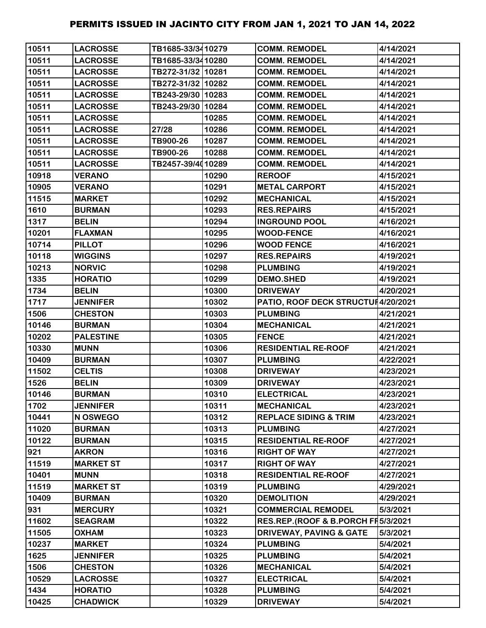| 10511 | <b>LACROSSE</b>  | TB1685-33/3410279 |       | <b>COMM. REMODEL</b>               | 4/14/2021 |
|-------|------------------|-------------------|-------|------------------------------------|-----------|
| 10511 | <b>LACROSSE</b>  | TB1685-33/3410280 |       | <b>COMM. REMODEL</b>               | 4/14/2021 |
| 10511 | <b>LACROSSE</b>  | TB272-31/32 10281 |       | <b>COMM. REMODEL</b>               | 4/14/2021 |
| 10511 | <b>LACROSSE</b>  | TB272-31/32 10282 |       | <b>COMM. REMODEL</b>               | 4/14/2021 |
| 10511 | <b>LACROSSE</b>  | TB243-29/30 10283 |       | <b>COMM. REMODEL</b>               | 4/14/2021 |
| 10511 | <b>LACROSSE</b>  | TB243-29/30 10284 |       | <b>COMM. REMODEL</b>               | 4/14/2021 |
| 10511 | <b>LACROSSE</b>  |                   | 10285 | <b>COMM. REMODEL</b>               | 4/14/2021 |
| 10511 | <b>LACROSSE</b>  | 27/28             | 10286 | <b>COMM. REMODEL</b>               | 4/14/2021 |
| 10511 | <b>LACROSSE</b>  | TB900-26          | 10287 | <b>COMM. REMODEL</b>               | 4/14/2021 |
| 10511 | <b>LACROSSE</b>  | TB900-26          | 10288 | <b>COMM. REMODEL</b>               | 4/14/2021 |
| 10511 | <b>LACROSSE</b>  | TB2457-39/4010289 |       | <b>COMM. REMODEL</b>               | 4/14/2021 |
| 10918 | <b>VERANO</b>    |                   | 10290 | <b>REROOF</b>                      | 4/15/2021 |
| 10905 | <b>VERANO</b>    |                   | 10291 | <b>METAL CARPORT</b>               | 4/15/2021 |
| 11515 | <b>MARKET</b>    |                   | 10292 | <b>MECHANICAL</b>                  | 4/15/2021 |
| 1610  | <b>BURMAN</b>    |                   | 10293 | <b>RES.REPAIRS</b>                 | 4/15/2021 |
| 1317  | <b>BELIN</b>     |                   | 10294 | <b>INGROUND POOL</b>               | 4/16/2021 |
| 10201 | <b>FLAXMAN</b>   |                   | 10295 | <b>WOOD-FENCE</b>                  | 4/16/2021 |
| 10714 | <b>PILLOT</b>    |                   | 10296 | <b>WOOD FENCE</b>                  | 4/16/2021 |
| 10118 | <b>WIGGINS</b>   |                   | 10297 | <b>RES.REPAIRS</b>                 | 4/19/2021 |
| 10213 | <b>NORVIC</b>    |                   | 10298 | <b>PLUMBING</b>                    | 4/19/2021 |
| 1335  | <b>HORATIO</b>   |                   | 10299 | <b>DEMO.SHED</b>                   | 4/19/2021 |
| 1734  | <b>BELIN</b>     |                   | 10300 | <b>DRIVEWAY</b>                    | 4/20/2021 |
| 1717  | <b>JENNIFER</b>  |                   | 10302 | PATIO, ROOF DECK STRUCTUH4/20/2021 |           |
| 1506  | <b>CHESTON</b>   |                   | 10303 | <b>PLUMBING</b>                    | 4/21/2021 |
| 10146 | <b>BURMAN</b>    |                   | 10304 | <b>MECHANICAL</b>                  | 4/21/2021 |
| 10202 | <b>PALESTINE</b> |                   | 10305 | <b>FENCE</b>                       | 4/21/2021 |
| 10330 | <b>MUNN</b>      |                   | 10306 | <b>RESIDENTIAL RE-ROOF</b>         | 4/21/2021 |
| 10409 | <b>BURMAN</b>    |                   | 10307 | <b>PLUMBING</b>                    | 4/22/2021 |
| 11502 | <b>CELTIS</b>    |                   | 10308 | <b>DRIVEWAY</b>                    | 4/23/2021 |
| 1526  | <b>BELIN</b>     |                   | 10309 | <b>DRIVEWAY</b>                    | 4/23/2021 |
| 10146 | <b>BURMAN</b>    |                   | 10310 | <b>ELECTRICAL</b>                  | 4/23/2021 |
| 1702  | <b>JENNIFER</b>  |                   | 10311 | <b>MECHANICAL</b>                  | 4/23/2021 |
| 10441 | N OSWEGO         |                   | 10312 | <b>REPLACE SIDING &amp; TRIM</b>   | 4/23/2021 |
| 11020 | <b>BURMAN</b>    |                   | 10313 | <b>PLUMBING</b>                    | 4/27/2021 |
| 10122 | <b>BURMAN</b>    |                   | 10315 | <b>RESIDENTIAL RE-ROOF</b>         | 4/27/2021 |
| 921   | <b>AKRON</b>     |                   | 10316 | <b>RIGHT OF WAY</b>                | 4/27/2021 |
| 11519 | <b>MARKET ST</b> |                   | 10317 | <b>RIGHT OF WAY</b>                | 4/27/2021 |
| 10401 | <b>MUNN</b>      |                   | 10318 | <b>RESIDENTIAL RE-ROOF</b>         | 4/27/2021 |
| 11519 | <b>MARKET ST</b> |                   | 10319 | <b>PLUMBING</b>                    | 4/29/2021 |
| 10409 | <b>BURMAN</b>    |                   | 10320 | <b>DEMOLITION</b>                  | 4/29/2021 |
| 931   | <b>MERCURY</b>   |                   | 10321 | <b>COMMERCIAL REMODEL</b>          | 5/3/2021  |
| 11602 | <b>SEAGRAM</b>   |                   | 10322 | RES.REP.(ROOF & B.PORCH FH5/3/2021 |           |
| 11505 | <b>OXHAM</b>     |                   | 10323 | <b>DRIVEWAY, PAVING &amp; GATE</b> | 5/3/2021  |
| 10237 | <b>MARKET</b>    |                   | 10324 | <b>PLUMBING</b>                    | 5/4/2021  |
| 1625  | <b>JENNIFER</b>  |                   | 10325 | <b>PLUMBING</b>                    | 5/4/2021  |
| 1506  | <b>CHESTON</b>   |                   | 10326 | <b>MECHANICAL</b>                  | 5/4/2021  |
| 10529 | <b>LACROSSE</b>  |                   | 10327 | <b>ELECTRICAL</b>                  | 5/4/2021  |
| 1434  | <b>HORATIO</b>   |                   | 10328 | <b>PLUMBING</b>                    | 5/4/2021  |
| 10425 | <b>CHADWICK</b>  |                   | 10329 | <b>DRIVEWAY</b>                    | 5/4/2021  |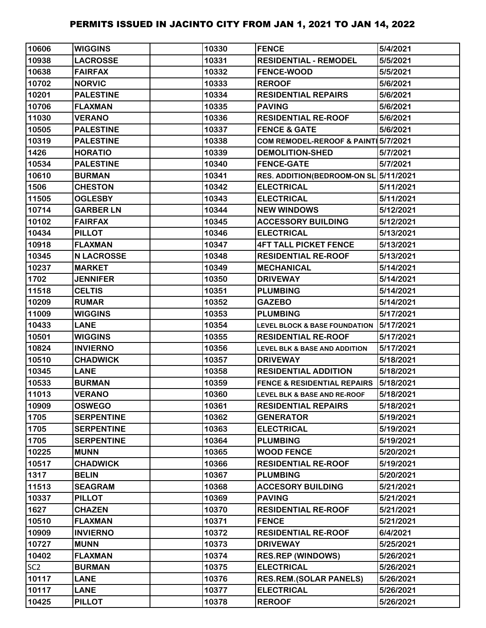| 10606           | <b>WIGGINS</b>    | 10330 | <b>FENCE</b>                             | 5/4/2021  |
|-----------------|-------------------|-------|------------------------------------------|-----------|
| 10938           | <b>LACROSSE</b>   | 10331 | <b>RESIDENTIAL - REMODEL</b>             | 5/5/2021  |
| 10638           | <b>FAIRFAX</b>    | 10332 | <b>FENCE-WOOD</b>                        | 5/5/2021  |
| 10702           | <b>NORVIC</b>     | 10333 | <b>REROOF</b>                            | 5/6/2021  |
| 10201           | <b>PALESTINE</b>  | 10334 | <b>RESIDENTIAL REPAIRS</b>               | 5/6/2021  |
| 10706           | <b>FLAXMAN</b>    | 10335 | <b>PAVING</b>                            | 5/6/2021  |
| 11030           | <b>VERANO</b>     | 10336 | <b>RESIDENTIAL RE-ROOF</b>               | 5/6/2021  |
| 10505           | <b>PALESTINE</b>  | 10337 | <b>FENCE &amp; GATE</b>                  | 5/6/2021  |
| 10319           | <b>PALESTINE</b>  | 10338 | COM REMODEL-REROOF & PAINT 5/7/2021      |           |
| 1426            | <b>HORATIO</b>    | 10339 | <b>DEMOLITION-SHED</b>                   | 5/7/2021  |
| 10534           | <b>PALESTINE</b>  | 10340 | <b>FENCE-GATE</b>                        | 5/7/2021  |
| 10610           | <b>BURMAN</b>     | 10341 | RES. ADDITION(BEDROOM-ON SL 5/11/2021    |           |
| 1506            | <b>CHESTON</b>    | 10342 | <b>ELECTRICAL</b>                        | 5/11/2021 |
| 11505           | <b>OGLESBY</b>    | 10343 | <b>ELECTRICAL</b>                        | 5/11/2021 |
| 10714           | <b>GARBER LN</b>  | 10344 | <b>NEW WINDOWS</b>                       | 5/12/2021 |
| 10102           | <b>FAIRFAX</b>    | 10345 | <b>ACCESSORY BUILDING</b>                | 5/12/2021 |
| 10434           | <b>PILLOT</b>     | 10346 | <b>ELECTRICAL</b>                        | 5/13/2021 |
| 10918           | <b>FLAXMAN</b>    | 10347 | <b>4FT TALL PICKET FENCE</b>             | 5/13/2021 |
| 10345           | <b>N LACROSSE</b> | 10348 | <b>RESIDENTIAL RE-ROOF</b>               | 5/13/2021 |
| 10237           | <b>MARKET</b>     | 10349 | <b>MECHANICAL</b>                        | 5/14/2021 |
| 1702            | <b>JENNIFER</b>   | 10350 | <b>DRIVEWAY</b>                          | 5/14/2021 |
| 11518           | <b>CELTIS</b>     | 10351 | <b>PLUMBING</b>                          | 5/14/2021 |
| 10209           | <b>RUMAR</b>      | 10352 | <b>GAZEBO</b>                            | 5/14/2021 |
| 11009           | <b>WIGGINS</b>    | 10353 | <b>PLUMBING</b>                          | 5/17/2021 |
| 10433           | <b>LANE</b>       | 10354 | <b>LEVEL BLOCK &amp; BASE FOUNDATION</b> | 5/17/2021 |
| 10501           | <b>WIGGINS</b>    | 10355 | <b>RESIDENTIAL RE-ROOF</b>               | 5/17/2021 |
| 10824           | <b>INVIERNO</b>   | 10356 | <b>LEVEL BLK &amp; BASE AND ADDITION</b> | 5/17/2021 |
| 10510           | <b>CHADWICK</b>   | 10357 | <b>DRIVEWAY</b>                          | 5/18/2021 |
| 10345           | <b>LANE</b>       | 10358 | <b>RESIDENTIAL ADDITION</b>              | 5/18/2021 |
| 10533           | <b>BURMAN</b>     | 10359 | <b>FENCE &amp; RESIDENTIAL REPAIRS</b>   | 5/18/2021 |
| 11013           | <b>VERANO</b>     | 10360 | LEVEL BLK & BASE AND RE-ROOF             | 5/18/2021 |
| 10909           | <b>OSWEGO</b>     | 10361 | <b>RESIDENTIAL REPAIRS</b>               | 5/18/2021 |
| 1705            | <b>SERPENTINE</b> | 10362 | <b>GENERATOR</b>                         | 5/19/2021 |
| 1705            | <b>SERPENTINE</b> | 10363 | <b>ELECTRICAL</b>                        | 5/19/2021 |
| 1705            | <b>SERPENTINE</b> | 10364 | <b>PLUMBING</b>                          | 5/19/2021 |
| 10225           | <b>MUNN</b>       | 10365 | <b>WOOD FENCE</b>                        | 5/20/2021 |
| 10517           | <b>CHADWICK</b>   | 10366 | <b>RESIDENTIAL RE-ROOF</b>               | 5/19/2021 |
| 1317            | <b>BELIN</b>      | 10367 | <b>PLUMBING</b>                          | 5/20/2021 |
| 11513           | <b>SEAGRAM</b>    | 10368 | <b>ACCESORY BUILDING</b>                 | 5/21/2021 |
| 10337           | <b>PILLOT</b>     | 10369 | <b>PAVING</b>                            | 5/21/2021 |
| 1627            | <b>CHAZEN</b>     | 10370 | <b>RESIDENTIAL RE-ROOF</b>               | 5/21/2021 |
| 10510           | <b>FLAXMAN</b>    | 10371 | <b>FENCE</b>                             | 5/21/2021 |
| 10909           | <b>INVIERNO</b>   | 10372 | <b>RESIDENTIAL RE-ROOF</b>               | 6/4/2021  |
| 10727           | <b>MUNN</b>       | 10373 | <b>DRIVEWAY</b>                          | 5/25/2021 |
| 10402           | <b>FLAXMAN</b>    | 10374 | <b>RES.REP (WINDOWS)</b>                 | 5/26/2021 |
| SC <sub>2</sub> | <b>BURMAN</b>     | 10375 | <b>ELECTRICAL</b>                        | 5/26/2021 |
| 10117           | <b>LANE</b>       | 10376 | <b>RES.REM.(SOLAR PANELS)</b>            | 5/26/2021 |
| 10117           | <b>LANE</b>       | 10377 | <b>ELECTRICAL</b>                        | 5/26/2021 |
| 10425           | <b>PILLOT</b>     | 10378 | <b>REROOF</b>                            | 5/26/2021 |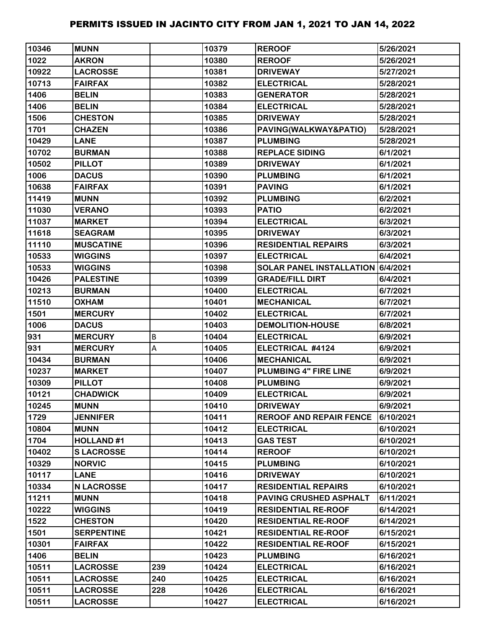| 10346 | <b>MUNN</b>       |         | 10379 | <b>REROOF</b>                     | 5/26/2021 |
|-------|-------------------|---------|-------|-----------------------------------|-----------|
| 1022  | <b>AKRON</b>      |         | 10380 | <b>REROOF</b>                     | 5/26/2021 |
| 10922 | <b>LACROSSE</b>   |         | 10381 | <b>DRIVEWAY</b>                   | 5/27/2021 |
| 10713 | <b>FAIRFAX</b>    |         | 10382 | <b>ELECTRICAL</b>                 | 5/28/2021 |
| 1406  | <b>BELIN</b>      |         | 10383 | <b>GENERATOR</b>                  | 5/28/2021 |
| 1406  | <b>BELIN</b>      |         | 10384 | <b>ELECTRICAL</b>                 | 5/28/2021 |
| 1506  | <b>CHESTON</b>    |         | 10385 | <b>DRIVEWAY</b>                   | 5/28/2021 |
| 1701  | <b>CHAZEN</b>     |         | 10386 | PAVING(WALKWAY&PATIO)             | 5/28/2021 |
| 10429 | <b>LANE</b>       |         | 10387 | <b>PLUMBING</b>                   | 5/28/2021 |
| 10702 | <b>BURMAN</b>     |         | 10388 | <b>REPLACE SIDING</b>             | 6/1/2021  |
| 10502 | <b>PILLOT</b>     |         | 10389 | <b>DRIVEWAY</b>                   | 6/1/2021  |
| 1006  | <b>DACUS</b>      |         | 10390 | <b>PLUMBING</b>                   | 6/1/2021  |
| 10638 | <b>FAIRFAX</b>    |         | 10391 | <b>PAVING</b>                     | 6/1/2021  |
| 11419 | <b>MUNN</b>       |         | 10392 | <b>PLUMBING</b>                   | 6/2/2021  |
| 11030 | <b>VERANO</b>     |         | 10393 | <b>PATIO</b>                      | 6/2/2021  |
| 11037 | <b>MARKET</b>     |         | 10394 | <b>ELECTRICAL</b>                 | 6/3/2021  |
| 11618 | <b>SEAGRAM</b>    |         | 10395 | <b>DRIVEWAY</b>                   | 6/3/2021  |
| 11110 | <b>MUSCATINE</b>  |         | 10396 | <b>RESIDENTIAL REPAIRS</b>        | 6/3/2021  |
| 10533 | <b>WIGGINS</b>    |         | 10397 | <b>ELECTRICAL</b>                 | 6/4/2021  |
| 10533 | <b>WIGGINS</b>    |         | 10398 | SOLAR PANEL INSTALLATION 6/4/2021 |           |
| 10426 | <b>PALESTINE</b>  |         | 10399 | <b>GRADE/FILL DIRT</b>            | 6/4/2021  |
| 10213 | <b>BURMAN</b>     |         | 10400 | <b>ELECTRICAL</b>                 | 6/7/2021  |
| 11510 | <b>OXHAM</b>      |         | 10401 | <b>MECHANICAL</b>                 | 6/7/2021  |
| 1501  | <b>MERCURY</b>    |         | 10402 | <b>ELECTRICAL</b>                 | 6/7/2021  |
| 1006  | <b>DACUS</b>      |         | 10403 | <b>DEMOLITION-HOUSE</b>           | 6/8/2021  |
| 931   | <b>MERCURY</b>    | $\sf B$ | 10404 | <b>ELECTRICAL</b>                 | 6/9/2021  |
| 931   | <b>MERCURY</b>    | A       | 10405 | ELECTRICAL #4124                  | 6/9/2021  |
| 10434 | <b>BURMAN</b>     |         | 10406 | <b>MECHANICAL</b>                 | 6/9/2021  |
| 10237 | <b>MARKET</b>     |         | 10407 | PLUMBING 4" FIRE LINE             | 6/9/2021  |
| 10309 | <b>PILLOT</b>     |         | 10408 | <b>PLUMBING</b>                   | 6/9/2021  |
| 10121 | <b>CHADWICK</b>   |         | 10409 | <b>ELECTRICAL</b>                 | 6/9/2021  |
| 10245 | <b>MUNN</b>       |         | 10410 | <b>DRIVEWAY</b>                   | 6/9/2021  |
| 1729  | <b>JENNIFER</b>   |         | 10411 | <b>REROOF AND REPAIR FENCE</b>    | 6/10/2021 |
| 10804 | <b>MUNN</b>       |         | 10412 | <b>ELECTRICAL</b>                 | 6/10/2021 |
| 1704  | <b>HOLLAND#1</b>  |         | 10413 | <b>GAS TEST</b>                   | 6/10/2021 |
| 10402 | <b>SLACROSSE</b>  |         | 10414 | <b>REROOF</b>                     | 6/10/2021 |
| 10329 | <b>NORVIC</b>     |         | 10415 | <b>PLUMBING</b>                   | 6/10/2021 |
| 10117 | <b>LANE</b>       |         | 10416 | <b>DRIVEWAY</b>                   | 6/10/2021 |
| 10334 | <b>N LACROSSE</b> |         | 10417 | <b>RESIDENTIAL REPAIRS</b>        | 6/10/2021 |
| 11211 | <b>MUNN</b>       |         | 10418 | <b>PAVING CRUSHED ASPHALT</b>     | 6/11/2021 |
| 10222 | <b>WIGGINS</b>    |         | 10419 | <b>RESIDENTIAL RE-ROOF</b>        | 6/14/2021 |
| 1522  | <b>CHESTON</b>    |         | 10420 | <b>RESIDENTIAL RE-ROOF</b>        | 6/14/2021 |
| 1501  | <b>SERPENTINE</b> |         | 10421 | <b>RESIDENTIAL RE-ROOF</b>        | 6/15/2021 |
| 10301 | <b>FAIRFAX</b>    |         | 10422 | <b>RESIDENTIAL RE-ROOF</b>        | 6/15/2021 |
| 1406  | <b>BELIN</b>      |         | 10423 | <b>PLUMBING</b>                   | 6/16/2021 |
| 10511 | <b>LACROSSE</b>   | 239     | 10424 | <b>ELECTRICAL</b>                 | 6/16/2021 |
| 10511 | <b>LACROSSE</b>   | 240     | 10425 | <b>ELECTRICAL</b>                 | 6/16/2021 |
| 10511 | <b>LACROSSE</b>   | 228     | 10426 | <b>ELECTRICAL</b>                 | 6/16/2021 |
| 10511 | <b>LACROSSE</b>   |         | 10427 | <b>ELECTRICAL</b>                 | 6/16/2021 |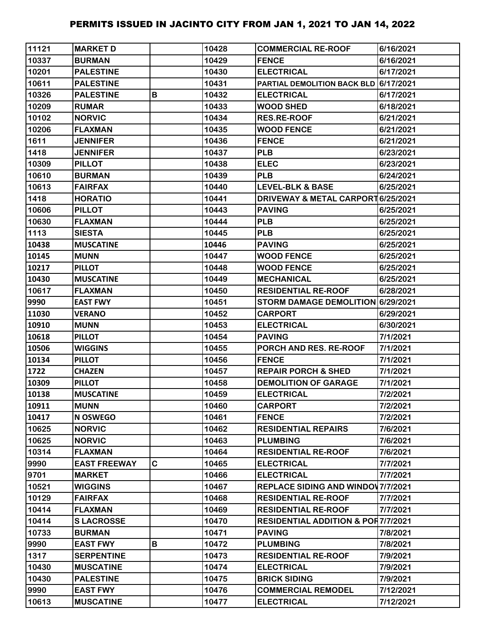| 11121 | <b>MARKET D</b>     |   | 10428 | <b>COMMERCIAL RE-ROOF</b>                     | 6/16/2021 |
|-------|---------------------|---|-------|-----------------------------------------------|-----------|
| 10337 | <b>BURMAN</b>       |   | 10429 | <b>FENCE</b>                                  | 6/16/2021 |
| 10201 | <b>PALESTINE</b>    |   | 10430 | <b>ELECTRICAL</b>                             | 6/17/2021 |
| 10611 | <b>PALESTINE</b>    |   | 10431 | PARTIAL DEMOLITION BACK BLD                   | 6/17/2021 |
| 10326 | <b>PALESTINE</b>    | B | 10432 | <b>ELECTRICAL</b>                             | 6/17/2021 |
| 10209 | <b>RUMAR</b>        |   | 10433 | <b>WOOD SHED</b>                              | 6/18/2021 |
| 10102 | <b>NORVIC</b>       |   | 10434 | <b>RES.RE-ROOF</b>                            | 6/21/2021 |
| 10206 | <b>FLAXMAN</b>      |   | 10435 | <b>WOOD FENCE</b>                             | 6/21/2021 |
| 1611  | <b>JENNIFER</b>     |   | 10436 | <b>FENCE</b>                                  | 6/21/2021 |
| 1418  | <b>JENNIFER</b>     |   | 10437 | <b>PLB</b>                                    | 6/23/2021 |
| 10309 | <b>PILLOT</b>       |   | 10438 | <b>ELEC</b>                                   | 6/23/2021 |
| 10610 | <b>BURMAN</b>       |   | 10439 | <b>PLB</b>                                    | 6/24/2021 |
| 10613 | <b>FAIRFAX</b>      |   | 10440 | <b>LEVEL-BLK &amp; BASE</b>                   | 6/25/2021 |
| 1418  | <b>HORATIO</b>      |   | 10441 | DRIVEWAY & METAL CARPORT 6/25/2021            |           |
| 10606 | <b>PILLOT</b>       |   | 10443 | <b>PAVING</b>                                 | 6/25/2021 |
| 10630 | <b>FLAXMAN</b>      |   | 10444 | <b>PLB</b>                                    | 6/25/2021 |
| 1113  | <b>SIESTA</b>       |   | 10445 | <b>PLB</b>                                    | 6/25/2021 |
| 10438 | <b>MUSCATINE</b>    |   | 10446 | <b>PAVING</b>                                 | 6/25/2021 |
| 10145 | <b>MUNN</b>         |   | 10447 | <b>WOOD FENCE</b>                             | 6/25/2021 |
| 10217 | <b>PILLOT</b>       |   | 10448 | <b>WOOD FENCE</b>                             | 6/25/2021 |
| 10430 | <b>MUSCATINE</b>    |   | 10449 | <b>MECHANICAL</b>                             | 6/25/2021 |
| 10617 | <b>FLAXMAN</b>      |   | 10450 | <b>RESIDENTIAL RE-ROOF</b>                    | 6/28/2021 |
| 9990  | <b>EAST FWY</b>     |   | 10451 | STORM DAMAGE DEMOLITION 6/29/2021             |           |
| 11030 | <b>VERANO</b>       |   | 10452 | <b>CARPORT</b>                                | 6/29/2021 |
| 10910 | <b>MUNN</b>         |   | 10453 | <b>ELECTRICAL</b>                             | 6/30/2021 |
| 10618 | <b>PILLOT</b>       |   | 10454 | <b>PAVING</b>                                 | 7/1/2021  |
| 10506 | <b>WIGGINS</b>      |   | 10455 | PORCH AND RES. RE-ROOF                        | 7/1/2021  |
| 10134 | <b>PILLOT</b>       |   | 10456 | <b>FENCE</b>                                  | 7/1/2021  |
| 1722  | <b>CHAZEN</b>       |   | 10457 | <b>REPAIR PORCH &amp; SHED</b>                | 7/1/2021  |
| 10309 | <b>PILLOT</b>       |   | 10458 | <b>DEMOLITION OF GARAGE</b>                   | 7/1/2021  |
| 10138 | <b>MUSCATINE</b>    |   | 10459 | <b>ELECTRICAL</b>                             | 7/2/2021  |
| 10911 | <b>MUNN</b>         |   | 10460 | <b>CARPORT</b>                                | 7/2/2021  |
| 10417 | <b>N OSWEGO</b>     |   | 10461 | <b>FENCE</b>                                  | 7/2/2021  |
| 10625 | <b>NORVIC</b>       |   | 10462 | <b>RESIDENTIAL REPAIRS</b>                    | 7/6/2021  |
| 10625 | <b>NORVIC</b>       |   | 10463 | <b>PLUMBING</b>                               | 7/6/2021  |
| 10314 | <b>FLAXMAN</b>      |   | 10464 | <b>RESIDENTIAL RE-ROOF</b>                    | 7/6/2021  |
| 9990  | <b>EAST FREEWAY</b> | C | 10465 | <b>ELECTRICAL</b>                             | 7/7/2021  |
| 9701  | <b>MARKET</b>       |   | 10466 | <b>ELECTRICAL</b>                             | 7/7/2021  |
| 10521 | <b>WIGGINS</b>      |   | 10467 | <b>REPLACE SIDING AND WINDOW 7/7/2021</b>     |           |
| 10129 | <b>FAIRFAX</b>      |   | 10468 | <b>RESIDENTIAL RE-ROOF</b>                    | 7/7/2021  |
| 10414 | <b>FLAXMAN</b>      |   | 10469 | <b>RESIDENTIAL RE-ROOF</b>                    | 7/7/2021  |
| 10414 | <b>SLACROSSE</b>    |   | 10470 | <b>RESIDENTIAL ADDITION &amp; POR7/7/2021</b> |           |
| 10733 | <b>BURMAN</b>       |   | 10471 | <b>PAVING</b>                                 | 7/8/2021  |
| 9990  | <b>EAST FWY</b>     | В | 10472 | <b>PLUMBING</b>                               | 7/8/2021  |
| 1317  | <b>SERPENTINE</b>   |   | 10473 | <b>RESIDENTIAL RE-ROOF</b>                    | 7/9/2021  |
| 10430 | <b>MUSCATINE</b>    |   | 10474 | <b>ELECTRICAL</b>                             | 7/9/2021  |
| 10430 | <b>PALESTINE</b>    |   | 10475 | <b>BRICK SIDING</b>                           | 7/9/2021  |
| 9990  | <b>EAST FWY</b>     |   | 10476 | <b>COMMERCIAL REMODEL</b>                     | 7/12/2021 |
| 10613 | <b>MUSCATINE</b>    |   | 10477 | <b>ELECTRICAL</b>                             | 7/12/2021 |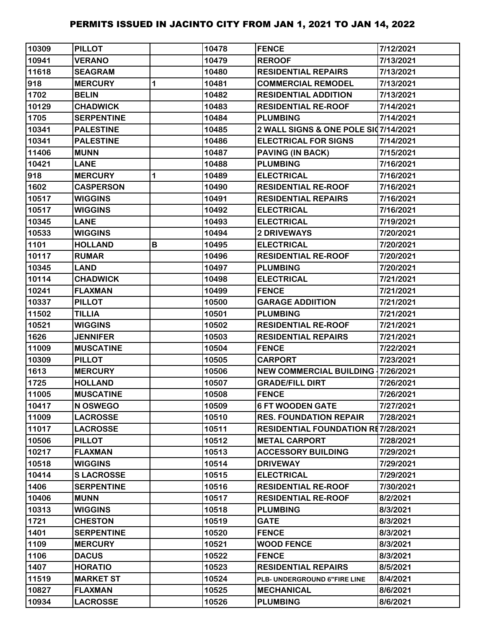| 10309 | <b>PILLOT</b>     |   | 10478 | <b>FENCE</b>                              | 7/12/2021 |
|-------|-------------------|---|-------|-------------------------------------------|-----------|
| 10941 | <b>VERANO</b>     |   | 10479 | <b>REROOF</b>                             | 7/13/2021 |
| 11618 | <b>SEAGRAM</b>    |   | 10480 | <b>RESIDENTIAL REPAIRS</b>                | 7/13/2021 |
| 918   | <b>MERCURY</b>    | 1 | 10481 | <b>COMMERCIAL REMODEL</b>                 | 7/13/2021 |
| 1702  | <b>BELIN</b>      |   | 10482 | <b>RESIDENTIAL ADDITION</b>               | 7/13/2021 |
| 10129 | <b>CHADWICK</b>   |   | 10483 | <b>RESIDENTIAL RE-ROOF</b>                | 7/14/2021 |
| 1705  | <b>SERPENTINE</b> |   | 10484 | <b>PLUMBING</b>                           | 7/14/2021 |
| 10341 | <b>PALESTINE</b>  |   | 10485 | 2 WALL SIGNS & ONE POLE SI07/14/2021      |           |
| 10341 | <b>PALESTINE</b>  |   | 10486 | <b>ELECTRICAL FOR SIGNS</b>               | 7/14/2021 |
| 11406 | <b>MUNN</b>       |   | 10487 | <b>PAVING (IN BACK)</b>                   | 7/15/2021 |
| 10421 | <b>LANE</b>       |   | 10488 | <b>PLUMBING</b>                           | 7/16/2021 |
| 918   | <b>MERCURY</b>    | 1 | 10489 | <b>ELECTRICAL</b>                         | 7/16/2021 |
| 1602  | <b>CASPERSON</b>  |   | 10490 | <b>RESIDENTIAL RE-ROOF</b>                | 7/16/2021 |
| 10517 | <b>WIGGINS</b>    |   | 10491 | <b>RESIDENTIAL REPAIRS</b>                | 7/16/2021 |
| 10517 | <b>WIGGINS</b>    |   | 10492 | <b>ELECTRICAL</b>                         | 7/16/2021 |
| 10345 | <b>LANE</b>       |   | 10493 | <b>ELECTRICAL</b>                         | 7/19/2021 |
| 10533 | <b>WIGGINS</b>    |   | 10494 | <b>2 DRIVEWAYS</b>                        | 7/20/2021 |
| 1101  | <b>HOLLAND</b>    | В | 10495 | <b>ELECTRICAL</b>                         | 7/20/2021 |
| 10117 | <b>RUMAR</b>      |   | 10496 | <b>RESIDENTIAL RE-ROOF</b>                | 7/20/2021 |
| 10345 | <b>LAND</b>       |   | 10497 | <b>PLUMBING</b>                           | 7/20/2021 |
| 10114 | <b>CHADWICK</b>   |   | 10498 | <b>ELECTRICAL</b>                         | 7/21/2021 |
| 10241 | <b>FLAXMAN</b>    |   | 10499 | <b>FENCE</b>                              | 7/21/2021 |
| 10337 | <b>PILLOT</b>     |   | 10500 | <b>GARAGE ADDIITION</b>                   | 7/21/2021 |
| 11502 | <b>TILLIA</b>     |   | 10501 | <b>PLUMBING</b>                           | 7/21/2021 |
| 10521 | <b>WIGGINS</b>    |   | 10502 | <b>RESIDENTIAL RE-ROOF</b>                | 7/21/2021 |
| 1626  | <b>JENNIFER</b>   |   | 10503 | <b>RESIDENTIAL REPAIRS</b>                | 7/21/2021 |
| 11009 | <b>MUSCATINE</b>  |   | 10504 | <b>FENCE</b>                              | 7/22/2021 |
| 10309 | <b>PILLOT</b>     |   | 10505 | <b>CARPORT</b>                            | 7/23/2021 |
| 1613  | <b>MERCURY</b>    |   | 10506 | <b>NEW COMMERCIAL BUILDING 17/26/2021</b> |           |
| 1725  | <b>HOLLAND</b>    |   | 10507 | <b>GRADE/FILL DIRT</b>                    | 7/26/2021 |
| 11005 | <b>MUSCATINE</b>  |   | 10508 | <b>FENCE</b>                              | 7/26/2021 |
| 10417 | N OSWEGO          |   | 10509 | <b>6 FT WOODEN GATE</b>                   | 7/27/2021 |
| 11009 | <b>LACROSSE</b>   |   | 10510 | <b>RES. FOUNDATION REPAIR</b>             | 7/28/2021 |
| 11017 | <b>LACROSSE</b>   |   | 10511 | <b>RESIDENTIAL FOUNDATION RE7/28/2021</b> |           |
| 10506 | <b>PILLOT</b>     |   | 10512 | <b>METAL CARPORT</b>                      | 7/28/2021 |
| 10217 | <b>FLAXMAN</b>    |   | 10513 | <b>ACCESSORY BUILDING</b>                 | 7/29/2021 |
| 10518 | <b>WIGGINS</b>    |   | 10514 | <b>DRIVEWAY</b>                           | 7/29/2021 |
| 10414 | <b>SLACROSSE</b>  |   | 10515 | <b>ELECTRICAL</b>                         | 7/29/2021 |
| 1406  | <b>SERPENTINE</b> |   | 10516 | <b>RESIDENTIAL RE-ROOF</b>                | 7/30/2021 |
| 10406 | <b>MUNN</b>       |   | 10517 | <b>RESIDENTIAL RE-ROOF</b>                | 8/2/2021  |
| 10313 | <b>WIGGINS</b>    |   | 10518 | <b>PLUMBING</b>                           | 8/3/2021  |
| 1721  | <b>CHESTON</b>    |   | 10519 | <b>GATE</b>                               | 8/3/2021  |
| 1401  | <b>SERPENTINE</b> |   | 10520 | <b>FENCE</b>                              | 8/3/2021  |
| 1109  | <b>MERCURY</b>    |   | 10521 | <b>WOOD FENCE</b>                         | 8/3/2021  |
| 1106  | <b>DACUS</b>      |   | 10522 | <b>FENCE</b>                              | 8/3/2021  |
| 1407  | <b>HORATIO</b>    |   | 10523 | <b>RESIDENTIAL REPAIRS</b>                | 8/5/2021  |
| 11519 | <b>MARKET ST</b>  |   | 10524 | PLB- UNDERGROUND 6"FIRE LINE              | 8/4/2021  |
| 10827 | <b>FLAXMAN</b>    |   | 10525 | <b>MECHANICAL</b>                         | 8/6/2021  |
| 10934 | <b>LACROSSE</b>   |   | 10526 | <b>PLUMBING</b>                           | 8/6/2021  |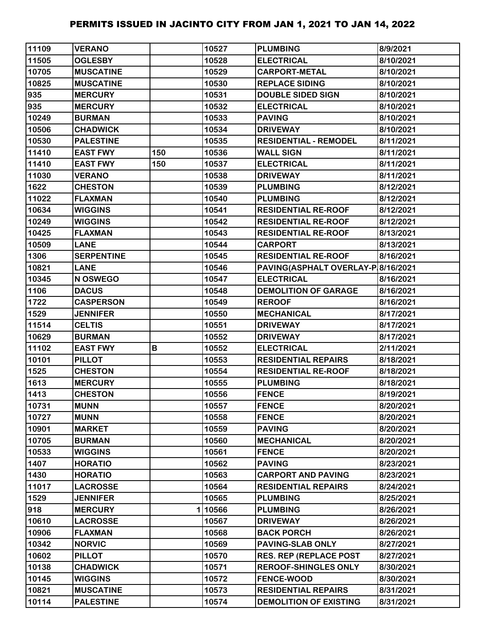| 11109 | <b>VERANO</b>     |     | 10527  | <b>PLUMBING</b>                    | 8/9/2021  |
|-------|-------------------|-----|--------|------------------------------------|-----------|
| 11505 | <b>OGLESBY</b>    |     | 10528  | <b>ELECTRICAL</b>                  | 8/10/2021 |
| 10705 | <b>MUSCATINE</b>  |     | 10529  | <b>CARPORT-METAL</b>               | 8/10/2021 |
| 10825 | <b>MUSCATINE</b>  |     | 10530  | <b>REPLACE SIDING</b>              | 8/10/2021 |
| 935   | <b>MERCURY</b>    |     | 10531  | <b>DOUBLE SIDED SIGN</b>           | 8/10/2021 |
| 935   | <b>MERCURY</b>    |     | 10532  | <b>ELECTRICAL</b>                  | 8/10/2021 |
| 10249 | <b>BURMAN</b>     |     | 10533  | <b>PAVING</b>                      | 8/10/2021 |
| 10506 | <b>CHADWICK</b>   |     | 10534  | <b>DRIVEWAY</b>                    | 8/10/2021 |
| 10530 | <b>PALESTINE</b>  |     | 10535  | <b>RESIDENTIAL - REMODEL</b>       | 8/11/2021 |
| 11410 | <b>EAST FWY</b>   | 150 | 10536  | <b>WALL SIGN</b>                   | 8/11/2021 |
| 11410 | <b>EAST FWY</b>   | 150 | 10537  | <b>ELECTRICAL</b>                  | 8/11/2021 |
| 11030 | <b>VERANO</b>     |     | 10538  | <b>DRIVEWAY</b>                    | 8/11/2021 |
| 1622  | <b>CHESTON</b>    |     | 10539  | <b>PLUMBING</b>                    | 8/12/2021 |
| 11022 | <b>FLAXMAN</b>    |     | 10540  | <b>PLUMBING</b>                    | 8/12/2021 |
| 10634 | <b>WIGGINS</b>    |     | 10541  | <b>RESIDENTIAL RE-ROOF</b>         | 8/12/2021 |
| 10249 | <b>WIGGINS</b>    |     | 10542  | <b>RESIDENTIAL RE-ROOF</b>         | 8/12/2021 |
| 10425 | <b>FLAXMAN</b>    |     | 10543  | <b>RESIDENTIAL RE-ROOF</b>         | 8/13/2021 |
| 10509 | <b>LANE</b>       |     | 10544  | <b>CARPORT</b>                     | 8/13/2021 |
| 1306  | <b>SERPENTINE</b> |     | 10545  | <b>RESIDENTIAL RE-ROOF</b>         | 8/16/2021 |
| 10821 | <b>LANE</b>       |     | 10546  | PAVING(ASPHALT OVERLAY-P 8/16/2021 |           |
| 10345 | N OSWEGO          |     | 10547  | <b>ELECTRICAL</b>                  | 8/16/2021 |
| 1106  | <b>DACUS</b>      |     | 10548  | <b>DEMOLITION OF GARAGE</b>        | 8/16/2021 |
| 1722  | <b>CASPERSON</b>  |     | 10549  | <b>REROOF</b>                      | 8/16/2021 |
| 1529  | <b>JENNIFER</b>   |     | 10550  | <b>MECHANICAL</b>                  | 8/17/2021 |
| 11514 | <b>CELTIS</b>     |     | 10551  | <b>DRIVEWAY</b>                    | 8/17/2021 |
| 10629 | <b>BURMAN</b>     |     | 10552  | <b>DRIVEWAY</b>                    | 8/17/2021 |
| 11102 | <b>EAST FWY</b>   | В   | 10552  | <b>ELECTRICAL</b>                  | 2/11/2021 |
| 10101 | <b>PILLOT</b>     |     | 10553  | <b>RESIDENTIAL REPAIRS</b>         | 8/18/2021 |
| 1525  | <b>CHESTON</b>    |     | 10554  | <b>RESIDENTIAL RE-ROOF</b>         | 8/18/2021 |
| 1613  | <b>MERCURY</b>    |     | 10555  | <b>PLUMBING</b>                    | 8/18/2021 |
| 1413  | <b>CHESTON</b>    |     | 10556  | <b>FENCE</b>                       | 8/19/2021 |
| 10731 | <b>MUNN</b>       |     | 10557  | <b>FENCE</b>                       | 8/20/2021 |
| 10727 | <b>MUNN</b>       |     | 10558  | <b>FENCE</b>                       | 8/20/2021 |
| 10901 | <b>MARKET</b>     |     | 10559  | <b>PAVING</b>                      | 8/20/2021 |
| 10705 | <b>BURMAN</b>     |     | 10560  | <b>MECHANICAL</b>                  | 8/20/2021 |
| 10533 | <b>WIGGINS</b>    |     | 10561  | <b>FENCE</b>                       | 8/20/2021 |
| 1407  | <b>HORATIO</b>    |     | 10562  | <b>PAVING</b>                      | 8/23/2021 |
| 1430  | <b>HORATIO</b>    |     | 10563  | <b>CARPORT AND PAVING</b>          | 8/23/2021 |
| 11017 | <b>LACROSSE</b>   |     | 10564  | <b>RESIDENTIAL REPAIRS</b>         | 8/24/2021 |
| 1529  | <b>JENNIFER</b>   |     | 10565  | <b>PLUMBING</b>                    | 8/25/2021 |
| 918   | <b>MERCURY</b>    |     | 110566 | <b>PLUMBING</b>                    | 8/26/2021 |
| 10610 | <b>LACROSSE</b>   |     | 10567  | <b>DRIVEWAY</b>                    | 8/26/2021 |
| 10906 | <b>FLAXMAN</b>    |     | 10568  | <b>BACK PORCH</b>                  | 8/26/2021 |
| 10342 | <b>NORVIC</b>     |     | 10569  | <b>PAVING-SLAB ONLY</b>            | 8/27/2021 |
| 10602 | <b>PILLOT</b>     |     | 10570  | <b>RES. REP (REPLACE POST</b>      | 8/27/2021 |
| 10138 | <b>CHADWICK</b>   |     | 10571  | <b>REROOF-SHINGLES ONLY</b>        | 8/30/2021 |
| 10145 | <b>WIGGINS</b>    |     | 10572  | <b>FENCE-WOOD</b>                  | 8/30/2021 |
| 10821 | <b>MUSCATINE</b>  |     | 10573  | <b>RESIDENTIAL REPAIRS</b>         | 8/31/2021 |
| 10114 | <b>PALESTINE</b>  |     | 10574  | <b>DEMOLITION OF EXISTING</b>      | 8/31/2021 |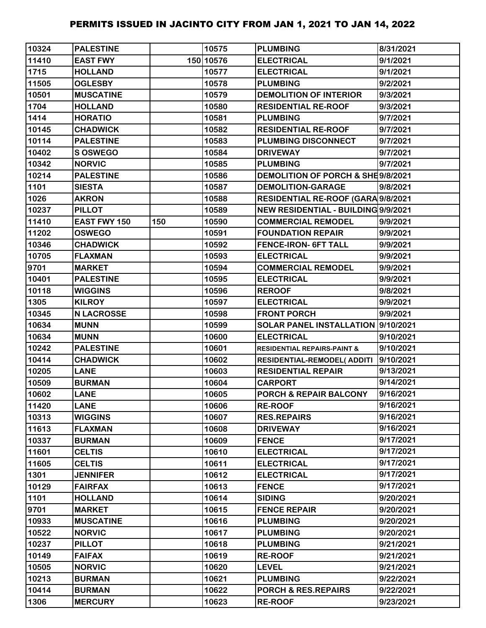| 10324 | <b>PALESTINE</b>  |     | 10575     | <b>PLUMBING</b>                        | 8/31/2021 |
|-------|-------------------|-----|-----------|----------------------------------------|-----------|
| 11410 | <b>EAST FWY</b>   |     | 150 10576 | <b>ELECTRICAL</b>                      | 9/1/2021  |
| 1715  | <b>HOLLAND</b>    |     | 10577     | <b>ELECTRICAL</b>                      | 9/1/2021  |
| 11505 | <b>OGLESBY</b>    |     | 10578     | <b>PLUMBING</b>                        | 9/2/2021  |
| 10501 | <b>MUSCATINE</b>  |     | 10579     | <b>DEMOLITION OF INTERIOR</b>          | 9/3/2021  |
| 1704  | <b>HOLLAND</b>    |     | 10580     | <b>RESIDENTIAL RE-ROOF</b>             | 9/3/2021  |
| 1414  | <b>HORATIO</b>    |     | 10581     | <b>PLUMBING</b>                        | 9/7/2021  |
| 10145 | <b>CHADWICK</b>   |     | 10582     | <b>RESIDENTIAL RE-ROOF</b>             | 9/7/2021  |
| 10114 | <b>PALESTINE</b>  |     | 10583     | PLUMBING DISCONNECT                    | 9/7/2021  |
| 10402 | S OSWEGO          |     | 10584     | <b>DRIVEWAY</b>                        | 9/7/2021  |
| 10342 | <b>NORVIC</b>     |     | 10585     | <b>PLUMBING</b>                        | 9/7/2021  |
| 10214 | <b>PALESTINE</b>  |     | 10586     | DEMOLITION OF PORCH & SHE9/8/2021      |           |
| 1101  | <b>SIESTA</b>     |     | 10587     | <b>DEMOLITION-GARAGE</b>               | 9/8/2021  |
| 1026  | <b>AKRON</b>      |     | 10588     | RESIDENTIAL RE-ROOF (GARA 9/8/2021     |           |
| 10237 | <b>PILLOT</b>     |     | 10589     | NEW RESIDENTIAL - BUILDING 9/9/2021    |           |
| 11410 | EAST FWY 150      | 150 | 10590     | <b>COMMERCIAL REMODEL</b>              | 9/9/2021  |
| 11202 | <b>OSWEGO</b>     |     | 10591     | <b>FOUNDATION REPAIR</b>               | 9/9/2021  |
| 10346 | <b>CHADWICK</b>   |     | 10592     | <b>FENCE-IRON- 6FT TALL</b>            | 9/9/2021  |
| 10705 | <b>FLAXMAN</b>    |     | 10593     | <b>ELECTRICAL</b>                      | 9/9/2021  |
| 9701  | <b>MARKET</b>     |     | 10594     | <b>COMMERCIAL REMODEL</b>              | 9/9/2021  |
| 10401 | <b>PALESTINE</b>  |     | 10595     | <b>ELECTRICAL</b>                      | 9/9/2021  |
| 10118 | <b>WIGGINS</b>    |     | 10596     | <b>REROOF</b>                          | 9/8/2021  |
| 1305  | <b>KILROY</b>     |     | 10597     | <b>ELECTRICAL</b>                      | 9/9/2021  |
| 10345 | <b>N LACROSSE</b> |     | 10598     | <b>FRONT PORCH</b>                     | 9/9/2021  |
| 10634 | <b>MUNN</b>       |     | 10599     | SOLAR PANEL INSTALLATION 9/10/2021     |           |
| 10634 | <b>MUNN</b>       |     | 10600     | <b>ELECTRICAL</b>                      | 9/10/2021 |
| 10242 | <b>PALESTINE</b>  |     | 10601     | <b>RESIDENTIAL REPAIRS-PAINT &amp;</b> | 9/10/2021 |
| 10414 | <b>CHADWICK</b>   |     | 10602     | <b>RESIDENTIAL-REMODEL( ADDITI</b>     | 9/10/2021 |
| 10205 | <b>LANE</b>       |     | 10603     | <b>RESIDENTIAL REPAIR</b>              | 9/13/2021 |
| 10509 | <b>BURMAN</b>     |     | 10604     | <b>CARPORT</b>                         | 9/14/2021 |
| 10602 | <b>LANE</b>       |     | 10605     | PORCH & REPAIR BALCONY                 | 9/16/2021 |
| 11420 | <b>LANE</b>       |     | 10606     | <b>RE-ROOF</b>                         | 9/16/2021 |
| 10313 | <b>WIGGINS</b>    |     | 10607     | <b>RES.REPAIRS</b>                     | 9/16/2021 |
| 11613 | <b>FLAXMAN</b>    |     | 10608     | <b>DRIVEWAY</b>                        | 9/16/2021 |
| 10337 | <b>BURMAN</b>     |     | 10609     | <b>FENCE</b>                           | 9/17/2021 |
| 11601 | <b>CELTIS</b>     |     | 10610     | <b>ELECTRICAL</b>                      | 9/17/2021 |
| 11605 | <b>CELTIS</b>     |     | 10611     | <b>ELECTRICAL</b>                      | 9/17/2021 |
| 1301  | <b>JENNIFER</b>   |     | 10612     | <b>ELECTRICAL</b>                      | 9/17/2021 |
| 10129 | <b>FAIRFAX</b>    |     | 10613     | <b>FENCE</b>                           | 9/17/2021 |
| 1101  | <b>HOLLAND</b>    |     | 10614     | <b>SIDING</b>                          | 9/20/2021 |
| 9701  | <b>MARKET</b>     |     | 10615     | <b>FENCE REPAIR</b>                    | 9/20/2021 |
| 10933 | <b>MUSCATINE</b>  |     | 10616     | <b>PLUMBING</b>                        | 9/20/2021 |
| 10522 | <b>NORVIC</b>     |     | 10617     | <b>PLUMBING</b>                        | 9/20/2021 |
| 10237 | <b>PILLOT</b>     |     | 10618     | <b>PLUMBING</b>                        | 9/21/2021 |
| 10149 | <b>FAIFAX</b>     |     | 10619     | <b>RE-ROOF</b>                         | 9/21/2021 |
| 10505 | <b>NORVIC</b>     |     | 10620     | <b>LEVEL</b>                           | 9/21/2021 |
| 10213 | <b>BURMAN</b>     |     | 10621     | <b>PLUMBING</b>                        | 9/22/2021 |
| 10414 | <b>BURMAN</b>     |     | 10622     | PORCH & RES.REPAIRS                    | 9/22/2021 |
| 1306  | <b>MERCURY</b>    |     | 10623     | <b>RE-ROOF</b>                         | 9/23/2021 |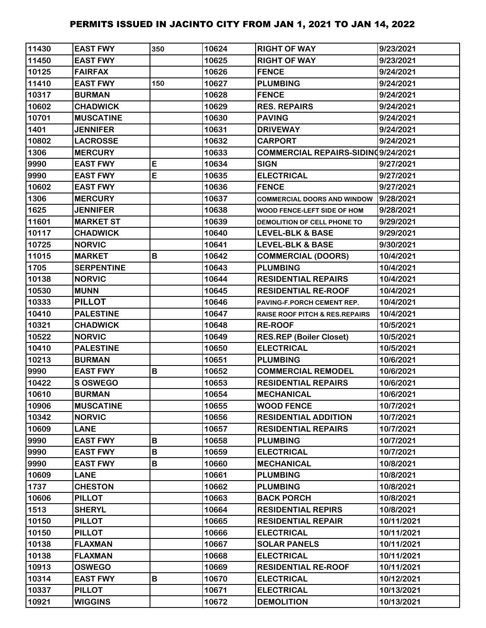| 11430 | <b>EAST FWY</b>   | 350 | 10624 | <b>RIGHT OF WAY</b>                       | 9/23/2021  |
|-------|-------------------|-----|-------|-------------------------------------------|------------|
| 11450 | <b>EAST FWY</b>   |     | 10625 | <b>RIGHT OF WAY</b>                       | 9/23/2021  |
| 10125 | <b>FAIRFAX</b>    |     | 10626 | <b>FENCE</b>                              | 9/24/2021  |
| 11410 | <b>EAST FWY</b>   | 150 | 10627 | <b>PLUMBING</b>                           | 9/24/2021  |
| 10317 | <b>BURMAN</b>     |     | 10628 | <b>FENCE</b>                              | 9/24/2021  |
| 10602 | <b>CHADWICK</b>   |     | 10629 | <b>RES. REPAIRS</b>                       | 9/24/2021  |
| 10701 | <b>MUSCATINE</b>  |     | 10630 | <b>PAVING</b>                             | 9/24/2021  |
| 1401  | <b>JENNIFER</b>   |     | 10631 | <b>DRIVEWAY</b>                           | 9/24/2021  |
| 10802 | <b>LACROSSE</b>   |     | 10632 | <b>CARPORT</b>                            | 9/24/2021  |
| 1306  | <b>MERCURY</b>    |     | 10633 | COMMERCIAL REPAIRS-SIDINQ9/24/2021        |            |
| 9990  | <b>EAST FWY</b>   | E   | 10634 | <b>SIGN</b>                               | 9/27/2021  |
| 9990  | <b>EAST FWY</b>   | E   | 10635 | <b>ELECTRICAL</b>                         | 9/27/2021  |
| 10602 | <b>EAST FWY</b>   |     | 10636 | <b>FENCE</b>                              | 9/27/2021  |
| 1306  | <b>MERCURY</b>    |     | 10637 | <b>COMMERCIAL DOORS AND WINDOW</b>        | 9/28/2021  |
| 1625  | <b>JENNIFER</b>   |     | 10638 | WOOD FENCE-LEFT SIDE OF HOM               | 9/28/2021  |
| 11601 | <b>MARKET ST</b>  |     | 10639 | DEMOLITION OF CELL PHONE TO               | 9/29/2021  |
| 10117 | <b>CHADWICK</b>   |     | 10640 | <b>LEVEL-BLK &amp; BASE</b>               | 9/29/2021  |
| 10725 | <b>NORVIC</b>     |     | 10641 | <b>LEVEL-BLK &amp; BASE</b>               | 9/30/2021  |
| 11015 | <b>MARKET</b>     | B   | 10642 | <b>COMMERCIAL (DOORS)</b>                 | 10/4/2021  |
| 1705  | <b>SERPENTINE</b> |     | 10643 | <b>PLUMBING</b>                           | 10/4/2021  |
| 10138 | <b>NORVIC</b>     |     | 10644 | <b>RESIDENTIAL REPAIRS</b>                | 10/4/2021  |
| 10530 | <b>MUNN</b>       |     | 10645 | <b>RESIDENTIAL RE-ROOF</b>                | 10/4/2021  |
| 10333 | <b>PILLOT</b>     |     | 10646 | PAVING-F.PORCH CEMENT REP.                | 10/4/2021  |
| 10410 | <b>PALESTINE</b>  |     | 10647 | <b>RAISE ROOF PITCH &amp; RES.REPAIRS</b> | 10/4/2021  |
| 10321 | <b>CHADWICK</b>   |     | 10648 | <b>RE-ROOF</b>                            | 10/5/2021  |
| 10522 | <b>NORVIC</b>     |     | 10649 | <b>RES.REP (Boiler Closet)</b>            | 10/5/2021  |
| 10410 | <b>PALESTINE</b>  |     | 10650 | <b>ELECTRICAL</b>                         | 10/5/2021  |
| 10213 | <b>BURMAN</b>     |     | 10651 | <b>PLUMBING</b>                           | 10/6/2021  |
| 9990  | <b>EAST FWY</b>   | B   | 10652 | <b>COMMERCIAL REMODEL</b>                 | 10/6/2021  |
| 10422 | S OSWEGO          |     | 10653 | <b>RESIDENTIAL REPAIRS</b>                | 10/6/2021  |
| 10610 | <b>BURMAN</b>     |     | 10654 | <b>MECHANICAL</b>                         | 10/6/2021  |
| 10906 | <b>MUSCATINE</b>  |     | 10655 | <b>WOOD FENCE</b>                         | 10/7/2021  |
| 10342 | <b>NORVIC</b>     |     | 10656 | <b>RESIDENTIAL ADDITION</b>               | 10/7/2021  |
| 10609 | <b>LANE</b>       |     | 10657 | <b>RESIDENTIAL REPAIRS</b>                | 10/7/2021  |
| 9990  | <b>EAST FWY</b>   | B   | 10658 | <b>PLUMBING</b>                           | 10/7/2021  |
| 9990  | <b>EAST FWY</b>   | B   | 10659 | <b>ELECTRICAL</b>                         | 10/7/2021  |
| 9990  | <b>EAST FWY</b>   | B   | 10660 | <b>MECHANICAL</b>                         | 10/8/2021  |
| 10609 | <b>LANE</b>       |     | 10661 | <b>PLUMBING</b>                           | 10/8/2021  |
| 1737  | <b>CHESTON</b>    |     | 10662 | <b>PLUMBING</b>                           | 10/8/2021  |
| 10606 | <b>PILLOT</b>     |     | 10663 | <b>BACK PORCH</b>                         | 10/8/2021  |
| 1513  | <b>SHERYL</b>     |     | 10664 | <b>RESIDENTIAL REPIRS</b>                 | 10/8/2021  |
| 10150 | <b>PILLOT</b>     |     | 10665 | <b>RESIDENTIAL REPAIR</b>                 | 10/11/2021 |
| 10150 | <b>PILLOT</b>     |     | 10666 | <b>ELECTRICAL</b>                         | 10/11/2021 |
| 10138 | <b>FLAXMAN</b>    |     | 10667 | <b>SOLAR PANELS</b>                       | 10/11/2021 |
| 10138 | <b>FLAXMAN</b>    |     | 10668 | <b>ELECTRICAL</b>                         | 10/11/2021 |
| 10913 | <b>OSWEGO</b>     |     | 10669 | <b>RESIDENTIAL RE-ROOF</b>                | 10/11/2021 |
| 10314 | <b>EAST FWY</b>   | B   | 10670 | <b>ELECTRICAL</b>                         | 10/12/2021 |
| 10337 | <b>PILLOT</b>     |     | 10671 | <b>ELECTRICAL</b>                         | 10/13/2021 |
| 10921 | <b>WIGGINS</b>    |     | 10672 | <b>DEMOLITION</b>                         | 10/13/2021 |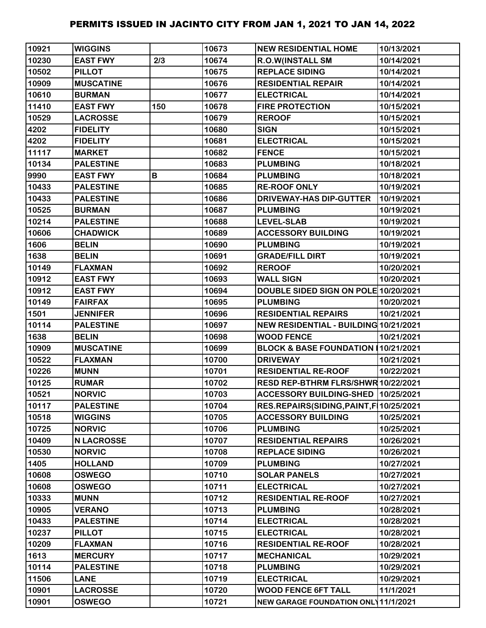| 10921 | <b>WIGGINS</b>    |     | 10673 | <b>NEW RESIDENTIAL HOME</b>               | 10/13/2021 |
|-------|-------------------|-----|-------|-------------------------------------------|------------|
| 10230 | <b>EAST FWY</b>   | 2/3 | 10674 | R.O.W(INSTALL SM                          | 10/14/2021 |
| 10502 | <b>PILLOT</b>     |     | 10675 | <b>REPLACE SIDING</b>                     | 10/14/2021 |
| 10909 | <b>MUSCATINE</b>  |     | 10676 | <b>RESIDENTIAL REPAIR</b>                 | 10/14/2021 |
| 10610 | <b>BURMAN</b>     |     | 10677 | <b>ELECTRICAL</b>                         | 10/14/2021 |
| 11410 | <b>EAST FWY</b>   | 150 | 10678 | <b>FIRE PROTECTION</b>                    | 10/15/2021 |
| 10529 | <b>LACROSSE</b>   |     | 10679 | <b>REROOF</b>                             | 10/15/2021 |
| 4202  | <b>FIDELITY</b>   |     | 10680 | <b>SIGN</b>                               | 10/15/2021 |
| 4202  | <b>FIDELITY</b>   |     | 10681 | <b>ELECTRICAL</b>                         | 10/15/2021 |
| 11117 | <b>MARKET</b>     |     | 10682 | <b>FENCE</b>                              | 10/15/2021 |
| 10134 | <b>PALESTINE</b>  |     | 10683 | <b>PLUMBING</b>                           | 10/18/2021 |
| 9990  | <b>EAST FWY</b>   | B   | 10684 | <b>PLUMBING</b>                           | 10/18/2021 |
| 10433 | <b>PALESTINE</b>  |     | 10685 | <b>RE-ROOF ONLY</b>                       | 10/19/2021 |
| 10433 | <b>PALESTINE</b>  |     | 10686 | <b>DRIVEWAY-HAS DIP-GUTTER</b>            | 10/19/2021 |
| 10525 | <b>BURMAN</b>     |     | 10687 | <b>PLUMBING</b>                           | 10/19/2021 |
| 10214 | <b>PALESTINE</b>  |     | 10688 | <b>LEVEL-SLAB</b>                         | 10/19/2021 |
| 10606 | <b>CHADWICK</b>   |     | 10689 | <b>ACCESSORY BUILDING</b>                 | 10/19/2021 |
| 1606  | <b>BELIN</b>      |     | 10690 | <b>PLUMBING</b>                           | 10/19/2021 |
| 1638  | <b>BELIN</b>      |     | 10691 | <b>GRADE/FILL DIRT</b>                    | 10/19/2021 |
| 10149 | <b>FLAXMAN</b>    |     | 10692 | <b>REROOF</b>                             | 10/20/2021 |
| 10912 | <b>EAST FWY</b>   |     | 10693 | <b>WALL SIGN</b>                          | 10/20/2021 |
| 10912 | <b>EAST FWY</b>   |     | 10694 | DOUBLE SIDED SIGN ON POLE 10/20/2021      |            |
| 10149 | <b>FAIRFAX</b>    |     | 10695 | <b>PLUMBING</b>                           | 10/20/2021 |
| 1501  | <b>JENNIFER</b>   |     | 10696 | <b>RESIDENTIAL REPAIRS</b>                | 10/21/2021 |
| 10114 | <b>PALESTINE</b>  |     | 10697 | NEW RESIDENTIAL - BUILDING 10/21/2021     |            |
| 1638  | <b>BELIN</b>      |     | 10698 | <b>WOOD FENCE</b>                         | 10/21/2021 |
| 10909 | <b>MUSCATINE</b>  |     | 10699 | BLOCK & BASE FOUNDATION 10/21/2021        |            |
| 10522 | <b>FLAXMAN</b>    |     | 10700 | <b>DRIVEWAY</b>                           | 10/21/2021 |
| 10226 | <b>MUNN</b>       |     | 10701 | <b>RESIDENTIAL RE-ROOF</b>                | 10/22/2021 |
| 10125 | <b>RUMAR</b>      |     | 10702 | RESD REP-BTHRM FLRS/SHWR 10/22/2021       |            |
| 10521 | <b>NORVIC</b>     |     | 10703 | ACCESSORY BUILDING-SHED  10/25/2021       |            |
| 10117 | <b>PALESTINE</b>  |     | 10704 | RES.REPAIRS(SIDING, PAINT, F   10/25/2021 |            |
| 10518 | <b>WIGGINS</b>    |     | 10705 | <b>ACCESSORY BUILDING</b>                 | 10/25/2021 |
| 10725 | <b>NORVIC</b>     |     | 10706 | <b>PLUMBING</b>                           | 10/25/2021 |
| 10409 | <b>N LACROSSE</b> |     | 10707 | <b>RESIDENTIAL REPAIRS</b>                | 10/26/2021 |
| 10530 | <b>NORVIC</b>     |     | 10708 | <b>REPLACE SIDING</b>                     | 10/26/2021 |
| 1405  | <b>HOLLAND</b>    |     | 10709 | <b>PLUMBING</b>                           | 10/27/2021 |
| 10608 | <b>OSWEGO</b>     |     | 10710 | <b>SOLAR PANELS</b>                       | 10/27/2021 |
| 10608 | <b>OSWEGO</b>     |     | 10711 | <b>ELECTRICAL</b>                         | 10/27/2021 |
| 10333 | <b>MUNN</b>       |     | 10712 | <b>RESIDENTIAL RE-ROOF</b>                | 10/27/2021 |
| 10905 | <b>VERANO</b>     |     | 10713 | <b>PLUMBING</b>                           | 10/28/2021 |
| 10433 | <b>PALESTINE</b>  |     | 10714 | <b>ELECTRICAL</b>                         | 10/28/2021 |
| 10237 | <b>PILLOT</b>     |     | 10715 | <b>ELECTRICAL</b>                         | 10/28/2021 |
| 10209 | <b>FLAXMAN</b>    |     | 10716 | <b>RESIDENTIAL RE-ROOF</b>                | 10/28/2021 |
| 1613  | <b>MERCURY</b>    |     | 10717 | <b>MECHANICAL</b>                         | 10/29/2021 |
| 10114 | <b>PALESTINE</b>  |     | 10718 | <b>PLUMBING</b>                           | 10/29/2021 |
| 11506 | <b>LANE</b>       |     | 10719 | <b>ELECTRICAL</b>                         | 10/29/2021 |
| 10901 | <b>LACROSSE</b>   |     | 10720 | <b>WOOD FENCE 6FT TALL</b>                | 11/1/2021  |
| 10901 | <b>OSWEGO</b>     |     | 10721 | NEW GARAGE FOUNDATION ONL 11/1/2021       |            |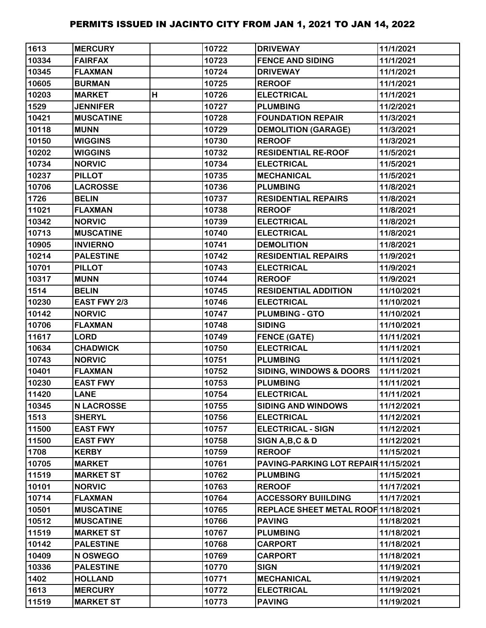| 1613  | <b>MERCURY</b>    |   | 10722 | <b>DRIVEWAY</b>                      | 11/1/2021  |
|-------|-------------------|---|-------|--------------------------------------|------------|
| 10334 | <b>FAIRFAX</b>    |   | 10723 | <b>FENCE AND SIDING</b>              | 11/1/2021  |
| 10345 | <b>FLAXMAN</b>    |   | 10724 | <b>DRIVEWAY</b>                      | 11/1/2021  |
| 10605 | <b>BURMAN</b>     |   | 10725 | <b>REROOF</b>                        | 11/1/2021  |
| 10203 | <b>MARKET</b>     | H | 10726 | <b>ELECTRICAL</b>                    | 11/1/2021  |
| 1529  | <b>JENNIFER</b>   |   | 10727 | <b>PLUMBING</b>                      | 11/2/2021  |
| 10421 | <b>MUSCATINE</b>  |   | 10728 | <b>FOUNDATION REPAIR</b>             | 11/3/2021  |
| 10118 | <b>MUNN</b>       |   | 10729 | <b>DEMOLITION (GARAGE)</b>           | 11/3/2021  |
| 10150 | <b>WIGGINS</b>    |   | 10730 | <b>REROOF</b>                        | 11/3/2021  |
| 10202 | <b>WIGGINS</b>    |   | 10732 | <b>RESIDENTIAL RE-ROOF</b>           | 11/5/2021  |
| 10734 | <b>NORVIC</b>     |   | 10734 | <b>ELECTRICAL</b>                    | 11/5/2021  |
| 10237 | <b>PILLOT</b>     |   | 10735 | <b>MECHANICAL</b>                    | 11/5/2021  |
| 10706 | <b>LACROSSE</b>   |   | 10736 | <b>PLUMBING</b>                      | 11/8/2021  |
| 1726  | <b>BELIN</b>      |   | 10737 | <b>RESIDENTIAL REPAIRS</b>           | 11/8/2021  |
| 11021 | <b>FLAXMAN</b>    |   | 10738 | <b>REROOF</b>                        | 11/8/2021  |
| 10342 | <b>NORVIC</b>     |   | 10739 | <b>ELECTRICAL</b>                    | 11/8/2021  |
| 10713 | <b>MUSCATINE</b>  |   | 10740 | <b>ELECTRICAL</b>                    | 11/8/2021  |
| 10905 | <b>INVIERNO</b>   |   | 10741 | <b>DEMOLITION</b>                    | 11/8/2021  |
| 10214 | <b>PALESTINE</b>  |   | 10742 | <b>RESIDENTIAL REPAIRS</b>           | 11/9/2021  |
| 10701 | <b>PILLOT</b>     |   | 10743 | <b>ELECTRICAL</b>                    | 11/9/2021  |
| 10317 | <b>MUNN</b>       |   | 10744 | <b>REROOF</b>                        | 11/9/2021  |
| 1514  | <b>BELIN</b>      |   | 10745 | <b>RESIDENTIAL ADDITION</b>          | 11/10/2021 |
| 10230 | EAST FWY 2/3      |   | 10746 | <b>ELECTRICAL</b>                    | 11/10/2021 |
| 10142 | <b>NORVIC</b>     |   | 10747 | <b>PLUMBING - GTO</b>                | 11/10/2021 |
| 10706 | <b>FLAXMAN</b>    |   | 10748 | <b>SIDING</b>                        | 11/10/2021 |
| 11617 | <b>LORD</b>       |   | 10749 | <b>FENCE (GATE)</b>                  | 11/11/2021 |
| 10634 | <b>CHADWICK</b>   |   | 10750 | <b>ELECTRICAL</b>                    | 11/11/2021 |
| 10743 | <b>NORVIC</b>     |   | 10751 | <b>PLUMBING</b>                      | 11/11/2021 |
| 10401 | <b>FLAXMAN</b>    |   | 10752 | <b>SIDING, WINDOWS &amp; DOORS</b>   | 11/11/2021 |
| 10230 | <b>EAST FWY</b>   |   | 10753 | <b>PLUMBING</b>                      | 11/11/2021 |
| 11420 | <b>LANE</b>       |   | 10754 | <b>ELECTRICAL</b>                    | 11/11/2021 |
| 10345 | <b>N LACROSSE</b> |   | 10755 | <b>SIDING AND WINDOWS</b>            | 11/12/2021 |
| 1513  | <b>SHERYL</b>     |   | 10756 | <b>ELECTRICAL</b>                    | 11/12/2021 |
| 11500 | <b>EAST FWY</b>   |   | 10757 | <b>ELECTRICAL - SIGN</b>             | 11/12/2021 |
| 11500 | <b>EAST FWY</b>   |   | 10758 | SIGN A, B, C & D                     | 11/12/2021 |
| 1708  | <b>KERBY</b>      |   | 10759 | <b>REROOF</b>                        | 11/15/2021 |
| 10705 | <b>MARKET</b>     |   | 10761 | PAVING-PARKING LOT REPAIR 11/15/2021 |            |
| 11519 | <b>MARKET ST</b>  |   | 10762 | <b>PLUMBING</b>                      | 11/15/2021 |
| 10101 | <b>NORVIC</b>     |   | 10763 | <b>REROOF</b>                        | 11/17/2021 |
| 10714 | <b>FLAXMAN</b>    |   | 10764 | <b>ACCESSORY BUIILDING</b>           | 11/17/2021 |
| 10501 | <b>MUSCATINE</b>  |   | 10765 | REPLACE SHEET METAL ROOF 11/18/2021  |            |
| 10512 | <b>MUSCATINE</b>  |   | 10766 | <b>PAVING</b>                        | 11/18/2021 |
| 11519 | <b>MARKET ST</b>  |   | 10767 | <b>PLUMBING</b>                      | 11/18/2021 |
| 10142 | <b>PALESTINE</b>  |   | 10768 | <b>CARPORT</b>                       | 11/18/2021 |
| 10409 | N OSWEGO          |   | 10769 | <b>CARPORT</b>                       | 11/18/2021 |
| 10336 | <b>PALESTINE</b>  |   | 10770 | <b>SIGN</b>                          | 11/19/2021 |
| 1402  | <b>HOLLAND</b>    |   | 10771 | <b>MECHANICAL</b>                    | 11/19/2021 |
| 1613  | <b>MERCURY</b>    |   | 10772 | <b>ELECTRICAL</b>                    | 11/19/2021 |
| 11519 | <b>MARKET ST</b>  |   | 10773 | <b>PAVING</b>                        | 11/19/2021 |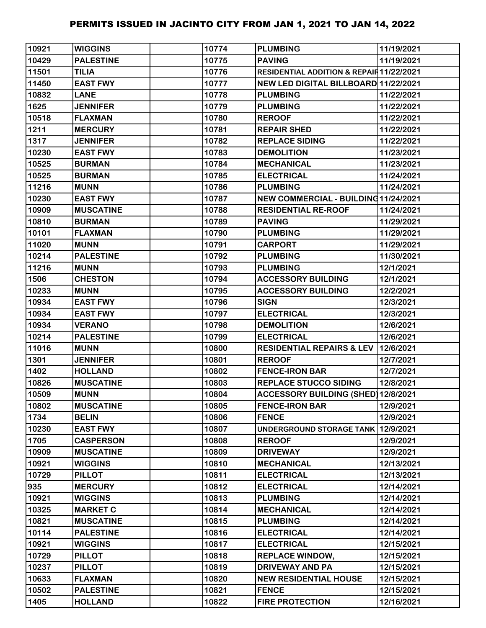| 10921 | <b>WIGGINS</b>   | 10774 | <b>PLUMBING</b>                                | 11/19/2021 |
|-------|------------------|-------|------------------------------------------------|------------|
| 10429 | <b>PALESTINE</b> | 10775 | <b>PAVING</b>                                  | 11/19/2021 |
| 11501 | <b>TILIA</b>     | 10776 | RESIDENTIAL ADDITION & REPAIR 11/22/2021       |            |
| 11450 | <b>EAST FWY</b>  | 10777 | NEW LED DIGITAL BILLBOARD 11/22/2021           |            |
| 10832 | <b>LANE</b>      | 10778 | <b>PLUMBING</b>                                | 11/22/2021 |
| 1625  | <b>JENNIFER</b>  | 10779 | <b>PLUMBING</b>                                | 11/22/2021 |
| 10518 | <b>FLAXMAN</b>   | 10780 | <b>REROOF</b>                                  | 11/22/2021 |
| 1211  | <b>MERCURY</b>   | 10781 | <b>REPAIR SHED</b>                             | 11/22/2021 |
| 1317  | <b>JENNIFER</b>  | 10782 | <b>REPLACE SIDING</b>                          | 11/22/2021 |
| 10230 | <b>EAST FWY</b>  | 10783 | <b>DEMOLITION</b>                              | 11/23/2021 |
| 10525 | <b>BURMAN</b>    | 10784 | <b>MECHANICAL</b>                              | 11/23/2021 |
| 10525 | <b>BURMAN</b>    | 10785 | <b>ELECTRICAL</b>                              | 11/24/2021 |
| 11216 | <b>MUNN</b>      | 10786 | <b>PLUMBING</b>                                | 11/24/2021 |
| 10230 | <b>EAST FWY</b>  | 10787 | NEW COMMERCIAL - BUILDING 11/24/2021           |            |
| 10909 | <b>MUSCATINE</b> | 10788 | <b>RESIDENTIAL RE-ROOF</b>                     | 11/24/2021 |
| 10810 | <b>BURMAN</b>    | 10789 | <b>PAVING</b>                                  | 11/29/2021 |
| 10101 | <b>FLAXMAN</b>   | 10790 | <b>PLUMBING</b>                                | 11/29/2021 |
| 11020 | <b>MUNN</b>      | 10791 | <b>CARPORT</b>                                 | 11/29/2021 |
| 10214 | <b>PALESTINE</b> | 10792 | <b>PLUMBING</b>                                | 11/30/2021 |
| 11216 | <b>MUNN</b>      | 10793 | <b>PLUMBING</b>                                | 12/1/2021  |
| 1506  | <b>CHESTON</b>   | 10794 | <b>ACCESSORY BUILDING</b>                      | 12/1/2021  |
| 10233 | <b>MUNN</b>      | 10795 | <b>ACCESSORY BUILDING</b>                      | 12/2/2021  |
| 10934 | <b>EAST FWY</b>  | 10796 | <b>SIGN</b>                                    | 12/3/2021  |
| 10934 | <b>EAST FWY</b>  | 10797 | <b>ELECTRICAL</b>                              | 12/3/2021  |
| 10934 | <b>VERANO</b>    | 10798 | <b>DEMOLITION</b>                              | 12/6/2021  |
| 10214 | <b>PALESTINE</b> | 10799 | <b>ELECTRICAL</b>                              | 12/6/2021  |
| 11016 | <b>MUNN</b>      | 10800 | <b>RESIDENTIAL REPAIRS &amp; LEV 12/6/2021</b> |            |
| 1301  | <b>JENNIFER</b>  | 10801 | <b>REROOF</b>                                  | 12/7/2021  |
| 1402  | <b>HOLLAND</b>   | 10802 | <b>FENCE-IRON BAR</b>                          | 12/7/2021  |
| 10826 | <b>MUSCATINE</b> | 10803 | <b>REPLACE STUCCO SIDING</b>                   | 12/8/2021  |
| 10509 | <b>MUNN</b>      | 10804 | ACCESSORY BUILDING (SHED) 12/8/2021            |            |
| 10802 | <b>MUSCATINE</b> | 10805 | <b>FENCE-IRON BAR</b>                          | 12/9/2021  |
| 1734  | <b>BELIN</b>     | 10806 | <b>FENCE</b>                                   | 12/9/2021  |
| 10230 | <b>EAST FWY</b>  | 10807 | UNDERGROUND STORAGE TANK 12/9/2021             |            |
| 1705  | <b>CASPERSON</b> | 10808 | <b>REROOF</b>                                  | 12/9/2021  |
| 10909 | <b>MUSCATINE</b> | 10809 | <b>DRIVEWAY</b>                                | 12/9/2021  |
| 10921 | <b>WIGGINS</b>   | 10810 | <b>MECHANICAL</b>                              | 12/13/2021 |
| 10729 | <b>PILLOT</b>    | 10811 | <b>ELECTRICAL</b>                              | 12/13/2021 |
| 935   | <b>MERCURY</b>   | 10812 | <b>ELECTRICAL</b>                              | 12/14/2021 |
| 10921 | <b>WIGGINS</b>   | 10813 | <b>PLUMBING</b>                                | 12/14/2021 |
| 10325 | <b>MARKET C</b>  | 10814 | <b>MECHANICAL</b>                              | 12/14/2021 |
| 10821 | <b>MUSCATINE</b> | 10815 | <b>PLUMBING</b>                                | 12/14/2021 |
| 10114 | <b>PALESTINE</b> | 10816 | <b>ELECTRICAL</b>                              | 12/14/2021 |
| 10921 | <b>WIGGINS</b>   | 10817 | <b>ELECTRICAL</b>                              | 12/15/2021 |
| 10729 | <b>PILLOT</b>    | 10818 | <b>REPLACE WINDOW,</b>                         | 12/15/2021 |
| 10237 | <b>PILLOT</b>    | 10819 | <b>DRIVEWAY AND PA</b>                         | 12/15/2021 |
| 10633 | <b>FLAXMAN</b>   | 10820 | <b>NEW RESIDENTIAL HOUSE</b>                   | 12/15/2021 |
| 10502 | <b>PALESTINE</b> | 10821 | <b>FENCE</b>                                   | 12/15/2021 |
| 1405  | <b>HOLLAND</b>   | 10822 | <b>FIRE PROTECTION</b>                         | 12/16/2021 |